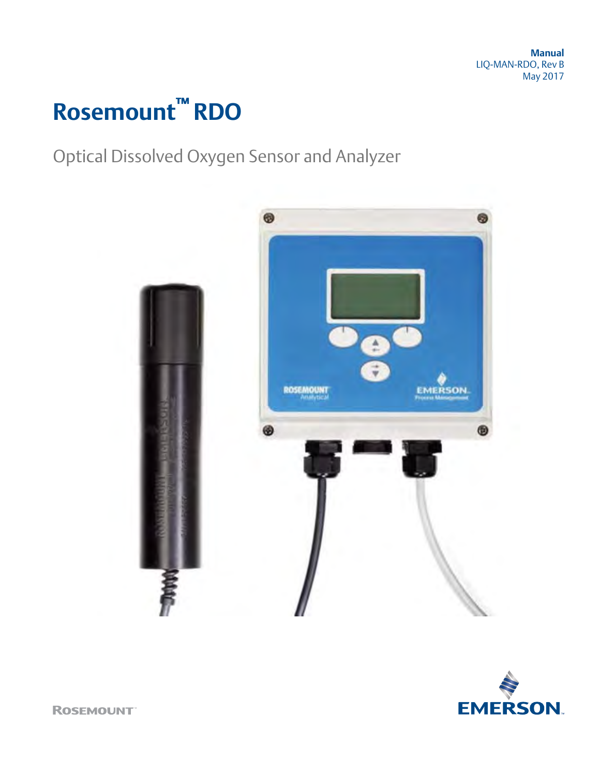# **Rosemount™ RDO**

## Optical Dissolved Oxygen Sensor and Analyzer





**ROSEMOUNT**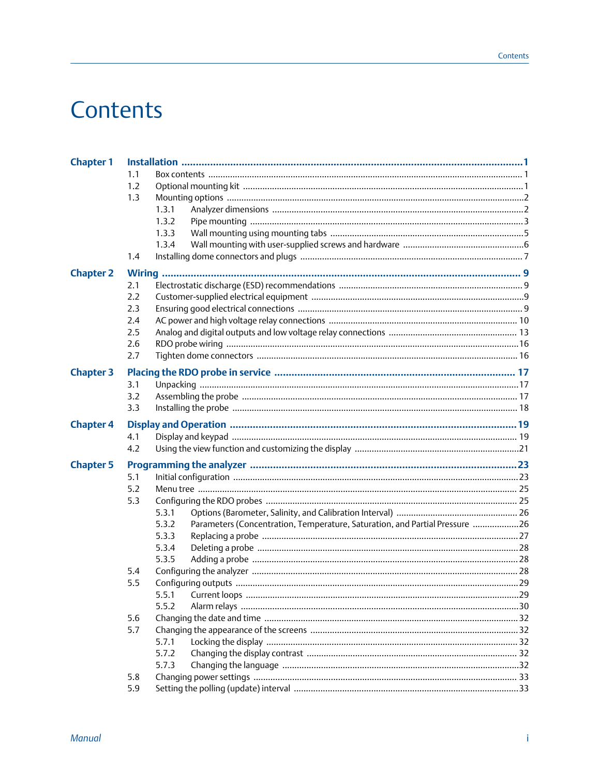# Contents

| <b>Chapter 1</b> |                                                                                      |  |
|------------------|--------------------------------------------------------------------------------------|--|
|                  | 1.1                                                                                  |  |
|                  | 1.2                                                                                  |  |
|                  | 1.3                                                                                  |  |
|                  | 1.3.1                                                                                |  |
|                  | 1.3.2                                                                                |  |
|                  | 1.3.3                                                                                |  |
|                  | 1.3.4                                                                                |  |
|                  | 1.4                                                                                  |  |
| <b>Chapter 2</b> |                                                                                      |  |
|                  | 2.1                                                                                  |  |
|                  | 2.2                                                                                  |  |
|                  | 2.3                                                                                  |  |
|                  | 2.4                                                                                  |  |
|                  | 2.5                                                                                  |  |
|                  | 2.6                                                                                  |  |
|                  | 2.7                                                                                  |  |
| <b>Chapter 3</b> |                                                                                      |  |
|                  | 3.1                                                                                  |  |
|                  | 3.2                                                                                  |  |
|                  | 3.3                                                                                  |  |
| <b>Chapter 4</b> |                                                                                      |  |
|                  | 4.1                                                                                  |  |
|                  | 4.2                                                                                  |  |
|                  |                                                                                      |  |
| <b>Chapter 5</b> |                                                                                      |  |
|                  | 5.1                                                                                  |  |
|                  | 5.2                                                                                  |  |
|                  | 5.3                                                                                  |  |
|                  | 5.3.1<br>5.3.2                                                                       |  |
|                  | Parameters (Concentration, Temperature, Saturation, and Partial Pressure 26<br>5.3.3 |  |
|                  | 5.3.4                                                                                |  |
|                  | 5.3.5                                                                                |  |
|                  | 5.4                                                                                  |  |
|                  | 5.5                                                                                  |  |
|                  |                                                                                      |  |
|                  | 5.5.2                                                                                |  |
|                  | 5.6                                                                                  |  |
|                  | 5.7                                                                                  |  |
|                  | 5.7.1                                                                                |  |
|                  | 5.7.2                                                                                |  |
|                  | 5.7.3                                                                                |  |
|                  | 5.8                                                                                  |  |
|                  | 5.9                                                                                  |  |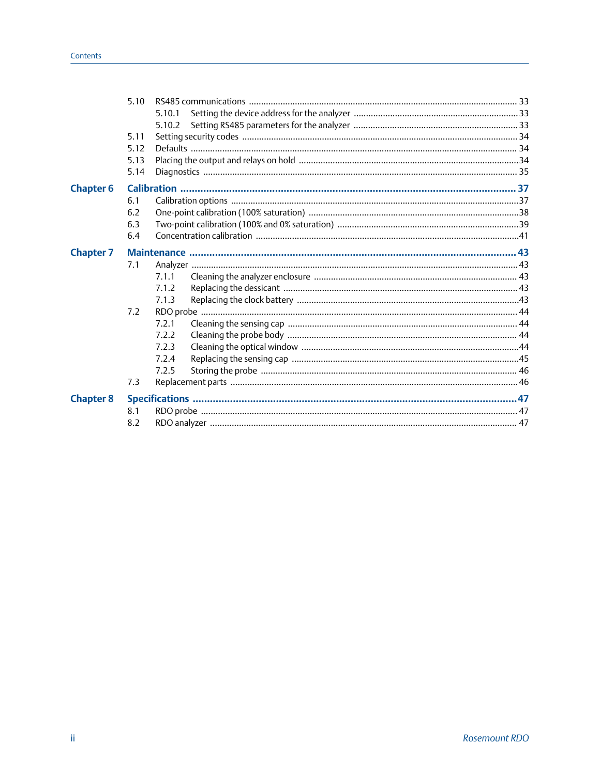#### Contents

|                  | 5.10 |        |  |
|------------------|------|--------|--|
|                  |      | 5.10.1 |  |
|                  |      | 5.10.2 |  |
|                  | 5.11 |        |  |
|                  | 5.12 |        |  |
|                  | 5.13 |        |  |
|                  | 5.14 |        |  |
| <b>Chapter 6</b> |      |        |  |
|                  | 6.1  |        |  |
|                  | 6.2  |        |  |
|                  | 6.3  |        |  |
|                  | 6.4  |        |  |
| <b>Chapter 7</b> |      |        |  |
|                  | 7.1  |        |  |
|                  |      | 7.1.1  |  |
|                  |      | 7.1.2  |  |
|                  |      | 7.1.3  |  |
|                  | 7.2  |        |  |
|                  |      | 7.2.1  |  |
|                  |      | 7.2.2  |  |
|                  |      | 7.2.3  |  |
|                  |      | 7.2.4  |  |
|                  |      | 7.2.5  |  |
|                  | 7.3  |        |  |
| <b>Chapter 8</b> |      |        |  |
|                  | 8.1  |        |  |
|                  | 8.2  |        |  |
|                  |      |        |  |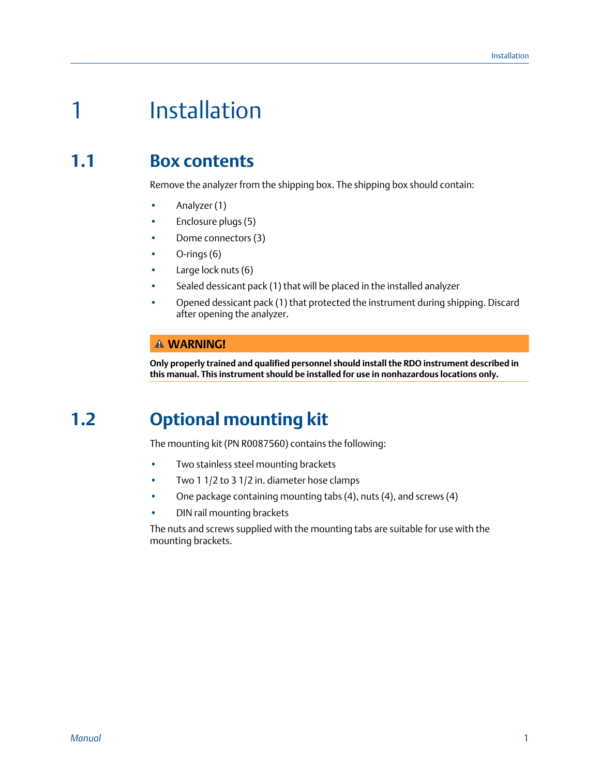# <span id="page-4-0"></span>1 Installation

## **1.1 Box contents**

Remove the analyzer from the shipping box. The shipping box should contain:

- Analyzer (1)
- Enclosure plugs (5)
- Dome connectors (3)
- $\bullet$  O-rings  $(6)$
- Large lock nuts (6)
- Sealed dessicant pack (1) that will be placed in the installed analyzer
- Opened dessicant pack (1) that protected the instrument during shipping. Discard after opening the analyzer.

#### **WARNING!**

**Only properly trained and qualified personnel should install the RDO instrument described in this manual. This instrument should be installed for use in nonhazardous locations only.**

## **1.2 Optional mounting kit**

The mounting kit (PN R0087560) contains the following:

- Two stainless steel mounting brackets
- Two 1 1/2 to 3 1/2 in. diameter hose clamps
- One package containing mounting tabs (4), nuts (4), and screws (4)
- DIN rail mounting brackets

The nuts and screws supplied with the mounting tabs are suitable for use with the mounting brackets.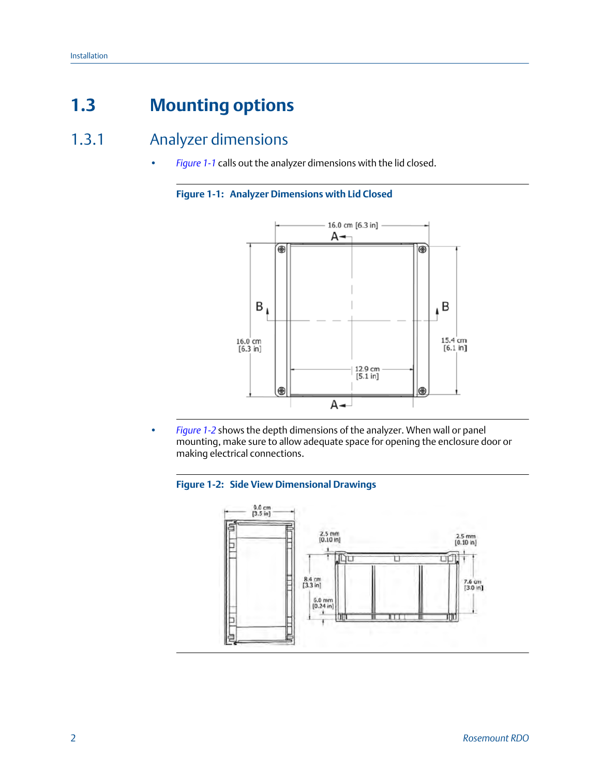## <span id="page-5-0"></span>**1.3 Mounting options**

## 1.3.1 Analyzer dimensions

• *Figure 1-1* calls out the analyzer dimensions with the lid closed.

#### **Figure 1-1: Analyzer Dimensions with Lid Closed**



• *Figure 1-2* shows the depth dimensions of the analyzer. When wall or panel mounting, make sure to allow adequate space for opening the enclosure door or making electrical connections.

#### **Figure 1-2: Side View Dimensional Drawings**

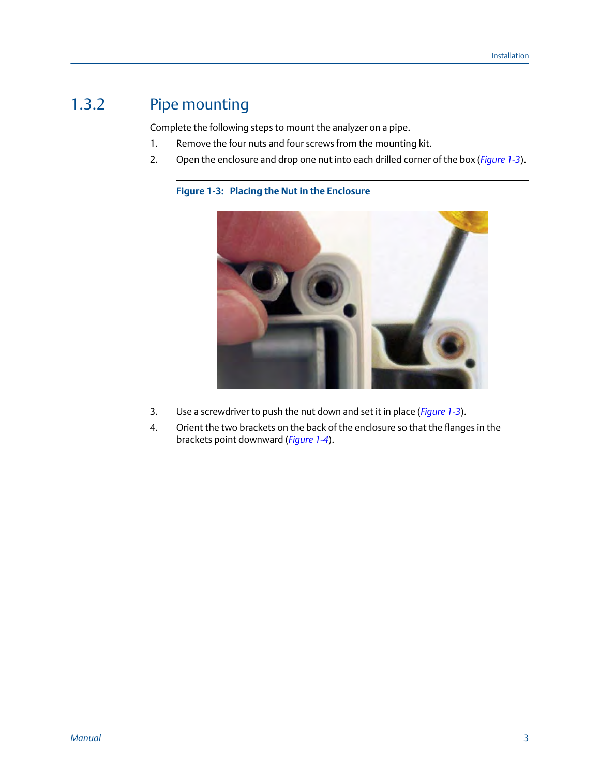## <span id="page-6-0"></span>1.3.2 Pipe mounting

Complete the following steps to mount the analyzer on a pipe.

- 1. Remove the four nuts and four screws from the mounting kit.
- 2. Open the enclosure and drop one nut into each drilled corner of the box (*Figure 1-3*).

#### **Figure 1-3: Placing the Nut in the Enclosure**



- 3. Use a screwdriver to push the nut down and set it in place (*Figure 1-3*).
- 4. Orient the two brackets on the back of the enclosure so that the flanges in the brackets point downward (*[Figure 1-4](#page-7-0)*).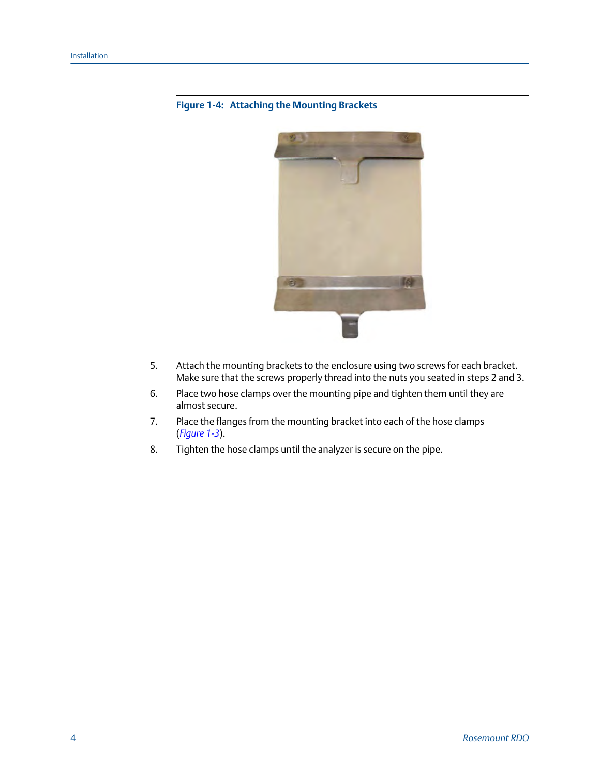# $25 - 1$ **BO**

#### <span id="page-7-0"></span>**Figure 1-4: Attaching the Mounting Brackets**

- 5. Attach the mounting brackets to the enclosure using two screws for each bracket. Make sure that the screws properly thread into the nuts you seated in steps 2 and 3.
- 6. Place two hose clamps over the mounting pipe and tighten them until they are almost secure.
- 7. Place the flanges from the mounting bracket into each of the hose clamps (*[Figure 1-3](#page-6-0)*).
- 8. Tighten the hose clamps until the analyzer is secure on the pipe.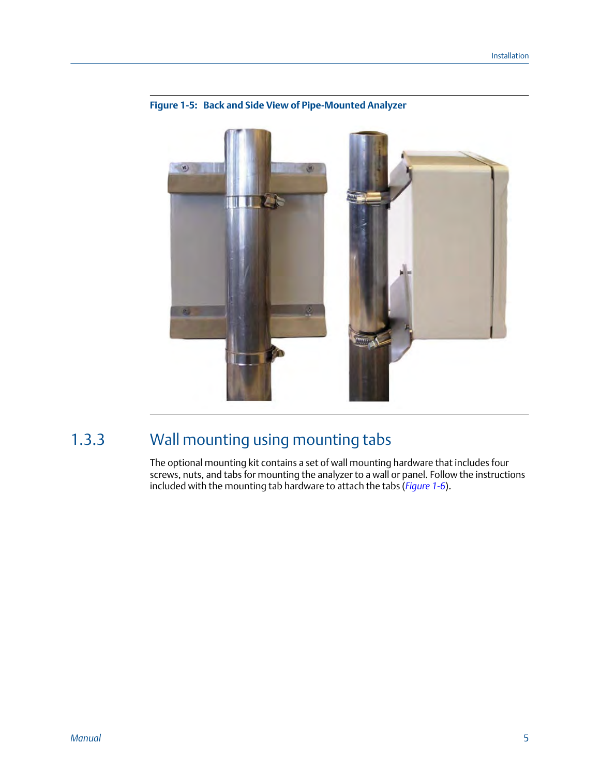

#### <span id="page-8-0"></span>**Figure 1-5: Back and Side View of Pipe-Mounted Analyzer**

## 1.3.3 Wall mounting using mounting tabs

The optional mounting kit contains a set of wall mounting hardware that includes four screws, nuts, and tabs for mounting the analyzer to a wall or panel. Follow the instructions included with the mounting tab hardware to attach the tabs (*[Figure 1-6](#page-9-0)*).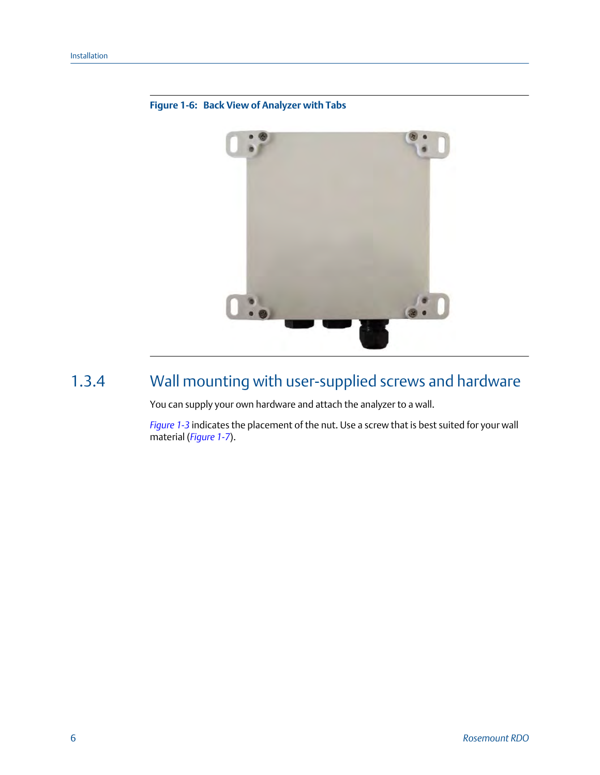<span id="page-9-0"></span>

**Figure 1-6: Back View of Analyzer with Tabs**

## 1.3.4 Wall mounting with user-supplied screws and hardware

You can supply your own hardware and attach the analyzer to a wall.

*[Figure 1-3](#page-6-0)* indicates the placement of the nut. Use a screw that is best suited for your wall material (*[Figure 1-7](#page-10-0)*).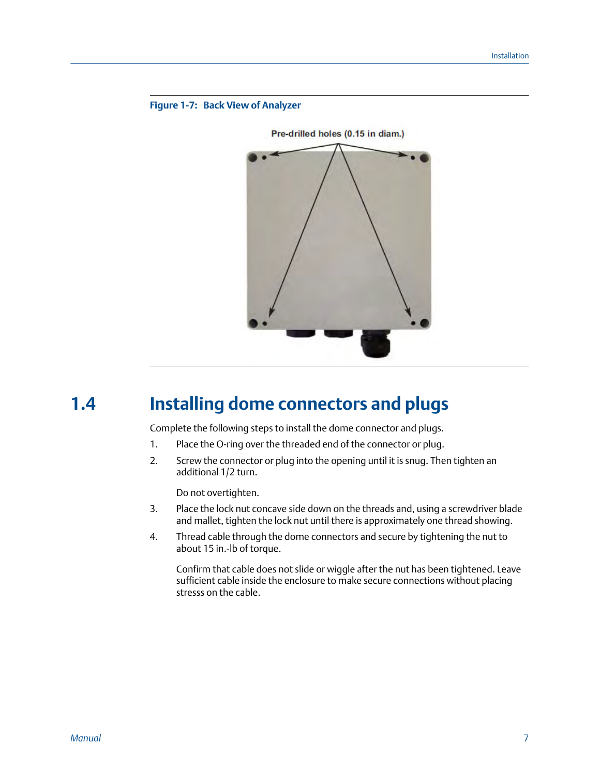#### <span id="page-10-0"></span>**Figure 1-7: Back View of Analyzer**



Pre-drilled holes (0.15 in diam.)

## **1.4 Installing dome connectors and plugs**

Complete the following steps to install the dome connector and plugs.

- 1. Place the O-ring over the threaded end of the connector or plug.
- 2. Screw the connector or plug into the opening until it is snug. Then tighten an additional 1/2 turn.

Do not overtighten.

- 3. Place the lock nut concave side down on the threads and, using a screwdriver blade and mallet, tighten the lock nut until there is approximately one thread showing.
- 4. Thread cable through the dome connectors and secure by tightening the nut to about 15 in.-lb of torque.

Confirm that cable does not slide or wiggle after the nut has been tightened. Leave sufficient cable inside the enclosure to make secure connections without placing stresss on the cable.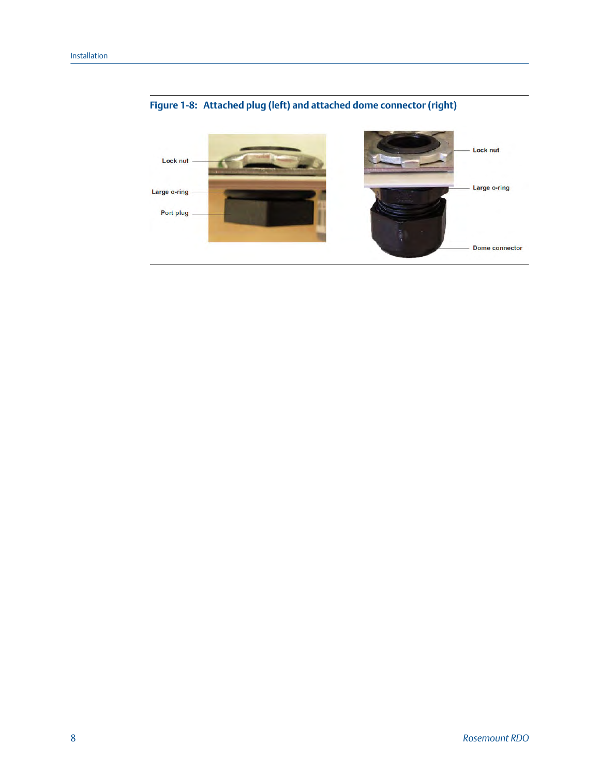

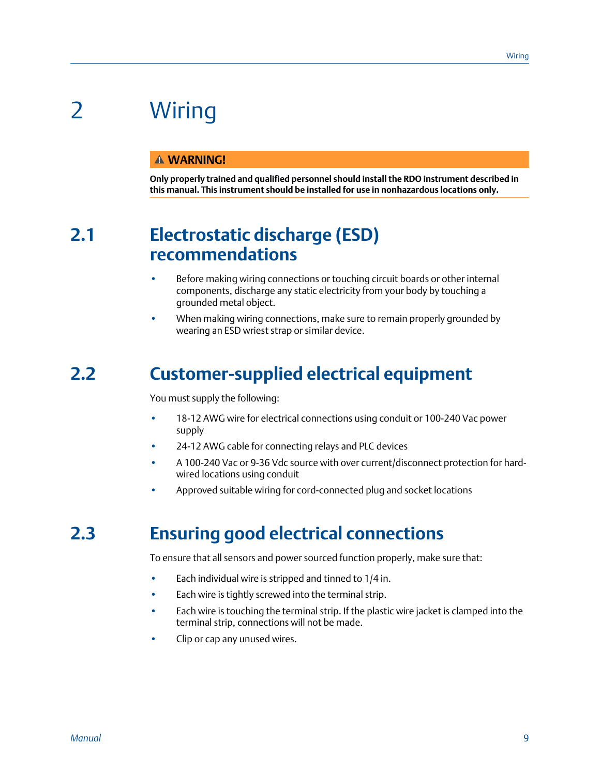# <span id="page-12-0"></span>2 Wiring

#### **WARNING!**

**Only properly trained and qualified personnel should install the RDO instrument described in this manual. This instrument should be installed for use in nonhazardous locations only.**

## **2.1 Electrostatic discharge (ESD) recommendations**

- Before making wiring connections or touching circuit boards or other internal components, discharge any static electricity from your body by touching a grounded metal object.
- When making wiring connections, make sure to remain properly grounded by wearing an ESD wriest strap or similar device.

## **2.2 Customer-supplied electrical equipment**

You must supply the following:

- 18-12 AWG wire for electrical connections using conduit or 100-240 Vac power supply
- 24-12 AWG cable for connecting relays and PLC devices
- A 100-240 Vac or 9-36 Vdc source with over current/disconnect protection for hardwired locations using conduit
- Approved suitable wiring for cord-connected plug and socket locations

## **2.3 Ensuring good electrical connections**

To ensure that all sensors and power sourced function properly, make sure that:

- Each individual wire is stripped and tinned to 1/4 in.
- Each wire is tightly screwed into the terminal strip.
- Each wire is touching the terminal strip. If the plastic wire jacket is clamped into the terminal strip, connections will not be made.
- Clip or cap any unused wires.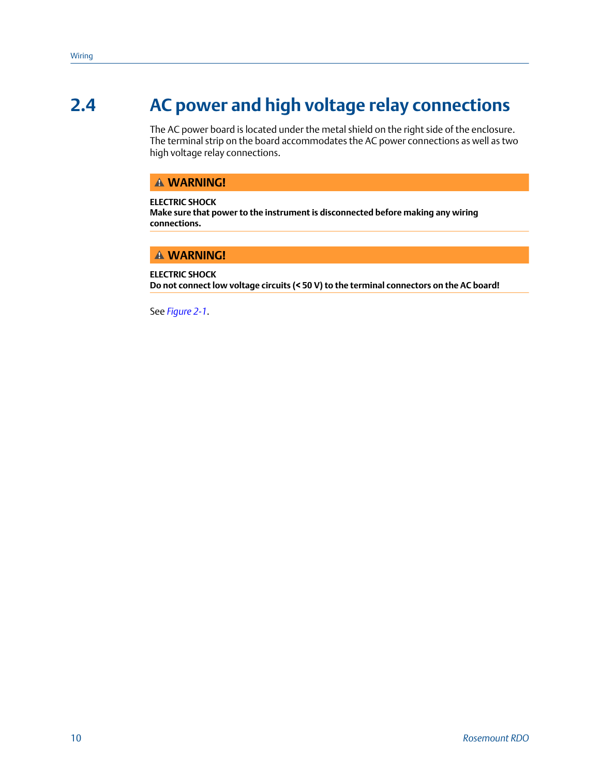## <span id="page-13-0"></span>**2.4 AC power and high voltage relay connections**

The AC power board is located under the metal shield on the right side of the enclosure. The terminal strip on the board accommodates the AC power connections as well as two high voltage relay connections.

#### **WARNING!**

#### **ELECTRIC SHOCK**

**Make sure that power to the instrument is disconnected before making any wiring connections.**

#### **WARNING!**

**ELECTRIC SHOCK Do not connect low voltage circuits (< 50 V) to the terminal connectors on the AC board!**

See *[Figure 2-1](#page-14-0)*.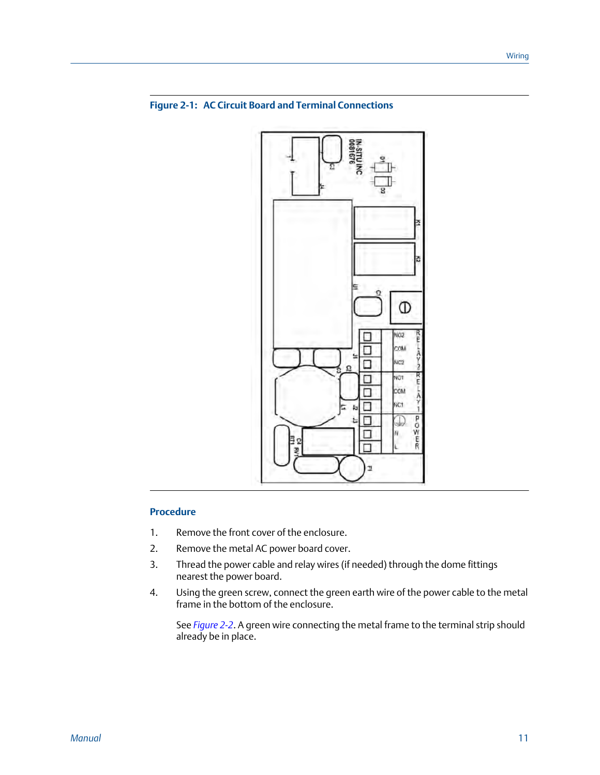

#### <span id="page-14-0"></span>**Figure 2-1: AC Circuit Board and Terminal Connections**

#### **Procedure**

- 1. Remove the front cover of the enclosure.
- 2. Remove the metal AC power board cover.
- 3. Thread the power cable and relay wires (if needed) through the dome fittings nearest the power board.
- 4. Using the green screw, connect the green earth wire of the power cable to the metal frame in the bottom of the enclosure.

See *[Figure 2-2](#page-15-0)*. A green wire connecting the metal frame to the terminal strip should already be in place.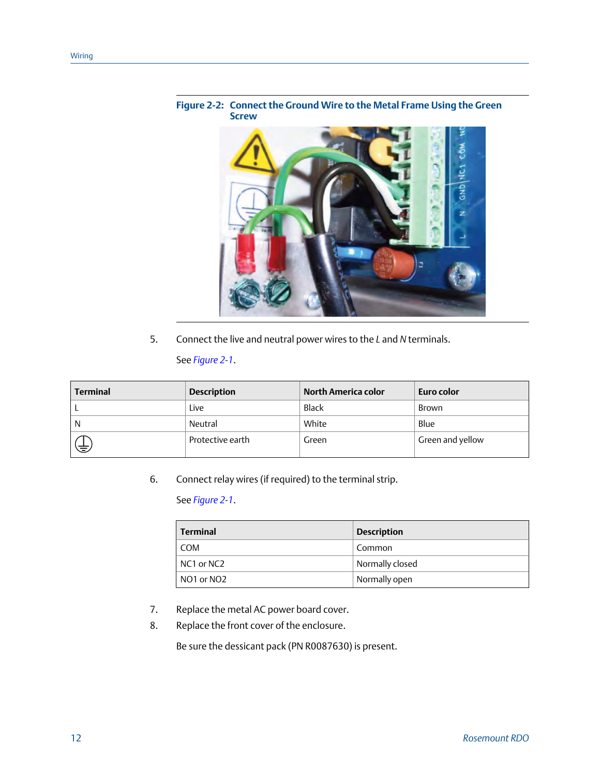

#### <span id="page-15-0"></span>**Connect the Ground Wire to the Metal Frame Using the Green Figure 2-2: Screw**

5. Connect the live and neutral power wires to the *L* and *N* terminals.

See *[Figure 2-1](#page-14-0)*.

| <b>Terminal</b> | <b>Description</b> | North America color | Euro color       |
|-----------------|--------------------|---------------------|------------------|
|                 | Live               | <b>Black</b>        | Brown            |
| N               | Neutral            | White               | Blue             |
| ま               | Protective earth   | Green               | Green and yellow |

6. Connect relay wires (if required) to the terminal strip.

See *[Figure 2-1](#page-14-0)*.

| <b>Terminal</b>           | <b>Description</b> |
|---------------------------|--------------------|
| COM                       | Common             |
| $NCl$ or NC2              | Normally closed    |
| $\overline{1}$ NO1 or NO2 | Normally open      |

- 7. Replace the metal AC power board cover.
- 8. Replace the front cover of the enclosure.

Be sure the dessicant pack (PN R0087630) is present.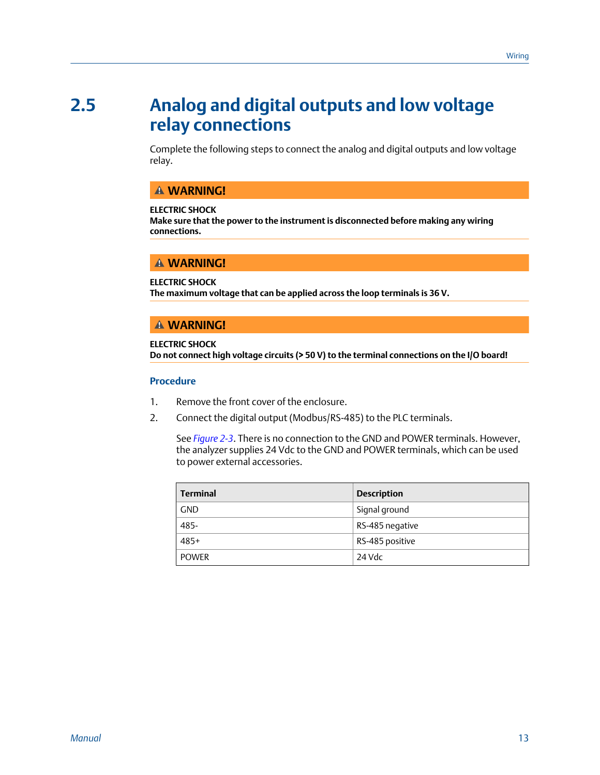## <span id="page-16-0"></span>**2.5 Analog and digital outputs and low voltage relay connections**

Complete the following steps to connect the analog and digital outputs and low voltage relay.

#### **WARNING!**

#### **ELECTRIC SHOCK**

**Make sure that the power to the instrument is disconnected before making any wiring connections.**

#### **WARNING!**

#### **ELECTRIC SHOCK**

**The maximum voltage that can be applied across the loop terminals is 36 V.**

#### **WARNING!**

#### **ELECTRIC SHOCK**

**Do not connect high voltage circuits (> 50 V) to the terminal connections on the I/O board!**

#### **Procedure**

- 1. Remove the front cover of the enclosure.
- 2. Connect the digital output (Modbus/RS-485) to the PLC terminals.

See *[Figure 2-3](#page-17-0)*. There is no connection to the GND and POWER terminals. However, the analyzer supplies 24 Vdc to the GND and POWER terminals, which can be used to power external accessories.

| <b>Terminal</b> | <b>Description</b> |
|-----------------|--------------------|
| <b>GND</b>      | Signal ground      |
| 485-            | RS-485 negative    |
| $485+$          | RS-485 positive    |
| <b>POWER</b>    | 24 Vdc             |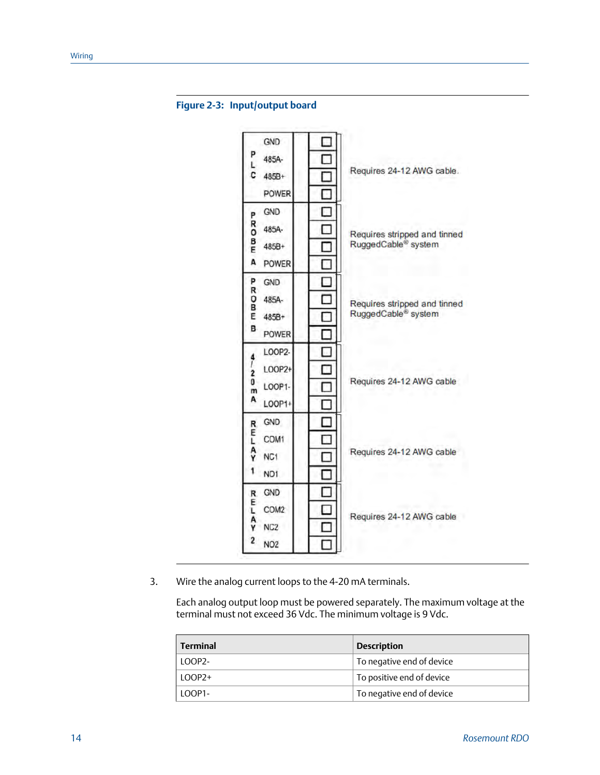<span id="page-17-0"></span>



3. Wire the analog current loops to the 4-20 mA terminals.

Each analog output loop must be powered separately. The maximum voltage at the terminal must not exceed 36 Vdc. The minimum voltage is 9 Vdc.

| <b>Terminal</b> | <b>Description</b>        |
|-----------------|---------------------------|
| LOOP2-          | To negative end of device |
| $\vert$ LOOP2+  | To positive end of device |
| LOOP1-          | To negative end of device |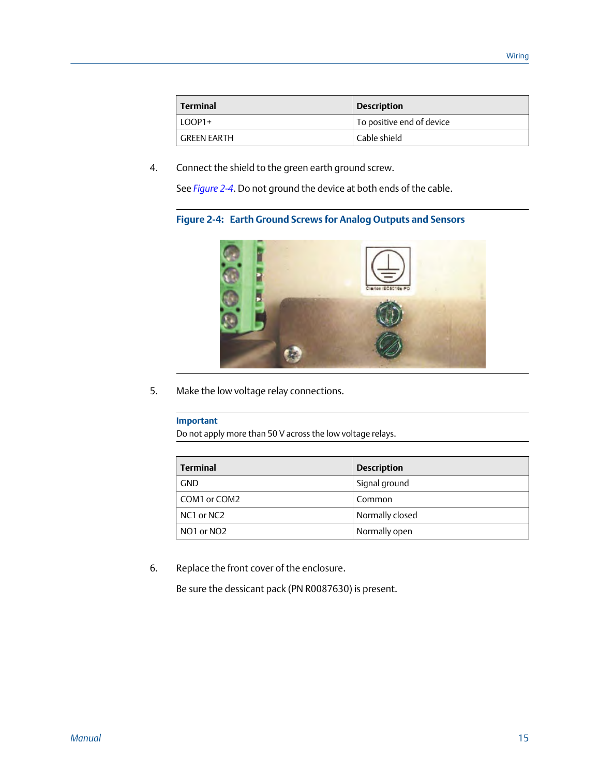<span id="page-18-0"></span>

| Terminal     | <b>Description</b>                |
|--------------|-----------------------------------|
| $1100P1+$    | $\perp$ To positive end of device |
| LGREEN FARTH | Cable shield                      |

4. Connect the shield to the green earth ground screw.

See *Figure 2-4*. Do not ground the device at both ends of the cable.

#### **Figure 2-4: Earth Ground Screws for Analog Outputs and Sensors**



5. Make the low voltage relay connections.

#### **Important**

Do not apply more than 50 V across the low voltage relays.

| <b>Terminal</b> | <b>Description</b> |
|-----------------|--------------------|
| <b>GND</b>      | Signal ground      |
| COM1 or COM2    | Common             |
| NC1 or NC2      | Normally closed    |
| NO1 or NO2      | Normally open      |

6. Replace the front cover of the enclosure.

Be sure the dessicant pack (PN R0087630) is present.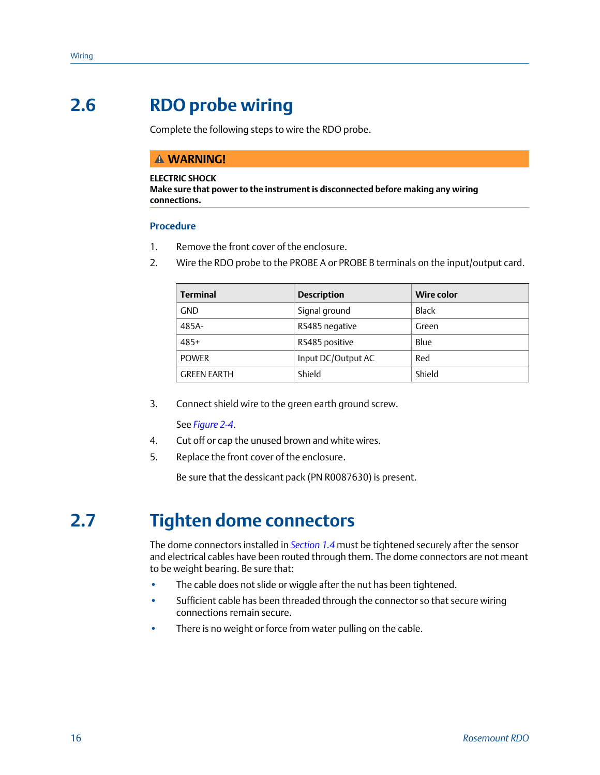## <span id="page-19-0"></span>**2.6 RDO probe wiring**

Complete the following steps to wire the RDO probe.

#### **A WARNING!**

#### **ELECTRIC SHOCK**

**Make sure that power to the instrument is disconnected before making any wiring connections.**

#### **Procedure**

- 1. Remove the front cover of the enclosure.
- 2. Wire the RDO probe to the PROBE A or PROBE B terminals on the input/output card.

| <b>Terminal</b>    | <b>Description</b> | Wire color   |
|--------------------|--------------------|--------------|
| <b>GND</b>         | Signal ground      | <b>Black</b> |
| 485A-              | RS485 negative     | Green        |
| $485+$             | RS485 positive     | Blue         |
| <b>POWER</b>       | Input DC/Output AC | Red          |
| <b>GREEN EARTH</b> | Shield             | Shield       |

3. Connect shield wire to the green earth ground screw.

See *[Figure 2-4](#page-18-0)*.

- 4. Cut off or cap the unused brown and white wires.
- 5. Replace the front cover of the enclosure.

Be sure that the dessicant pack (PN R0087630) is present.

# **2.7 Tighten dome connectors**

The dome connectors installed in *[Section 1.4](#page-10-0)* must be tightened securely after the sensor and electrical cables have been routed through them. The dome connectors are not meant to be weight bearing. Be sure that:

- The cable does not slide or wiggle after the nut has been tightened.
- Sufficient cable has been threaded through the connector so that secure wiring connections remain secure.
- There is no weight or force from water pulling on the cable.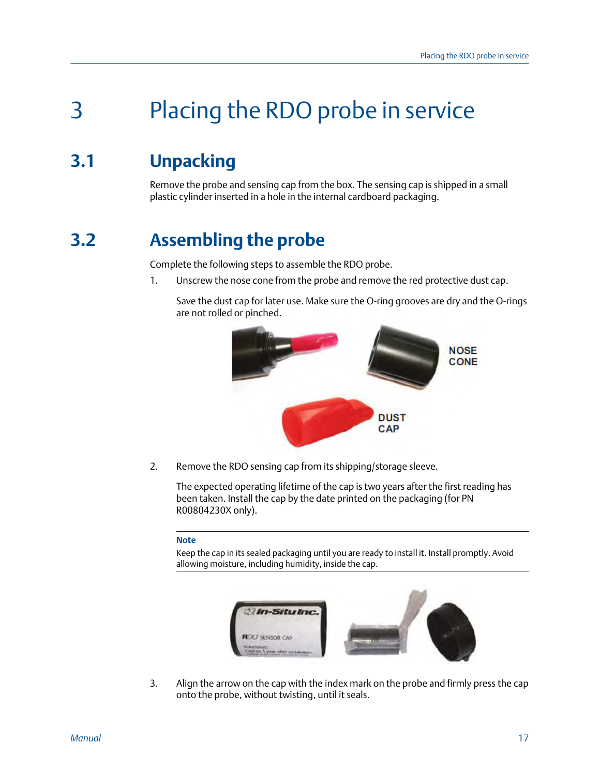# <span id="page-20-0"></span>3 Placing the RDO probe in service

## **3.1 Unpacking**

Remove the probe and sensing cap from the box. The sensing cap is shipped in a small plastic cylinder inserted in a hole in the internal cardboard packaging.

## **3.2 Assembling the probe**

Complete the following steps to assemble the RDO probe.

1. Unscrew the nose cone from the probe and remove the red protective dust cap.

Save the dust cap for later use. Make sure the O-ring grooves are dry and the O-rings are not rolled or pinched.



2. Remove the RDO sensing cap from its shipping/storage sleeve.

The expected operating lifetime of the cap is two years after the first reading has been taken. Install the cap by the date printed on the packaging (for PN R00804230X only).

#### **Note**

Keep the cap in its sealed packaging until you are ready to install it. Install promptly. Avoid allowing moisture, including humidity, inside the cap.



3. Align the arrow on the cap with the index mark on the probe and firmly press the cap onto the probe, without twisting, until it seals.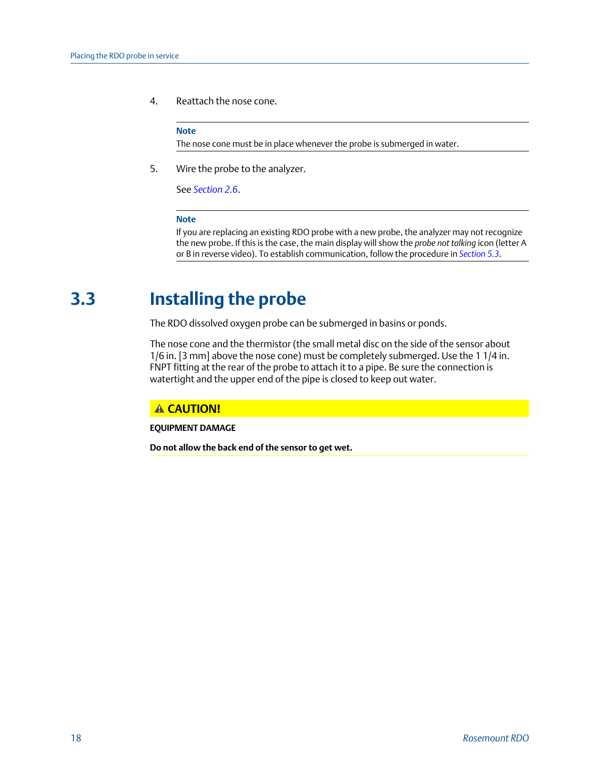<span id="page-21-0"></span>4. Reattach the nose cone.

#### **Note**

The nose cone must be in place whenever the probe is submerged in water.

5. Wire the probe to the analyzer.

See *[Section 2.6](#page-19-0)*.

#### **Note**

If you are replacing an existing RDO probe with a new probe, the analyzer may not recognize the new probe. If this is the case, the main display will show the *probe not talking* icon (letter A or B in reverse video). To establish communication, follow the procedure in *[Section 5.3](#page-28-0)*.

## **3.3 Installing the probe**

The RDO dissolved oxygen probe can be submerged in basins or ponds.

The nose cone and the thermistor (the small metal disc on the side of the sensor about 1/6 in. [3 mm] above the nose cone) must be completely submerged. Use the 1 1/4 in. FNPT fitting at the rear of the probe to attach it to a pipe. Be sure the connection is watertight and the upper end of the pipe is closed to keep out water.

**A CAUTION!** 

**EQUIPMENT DAMAGE**

**Do not allow the back end of the sensor to get wet.**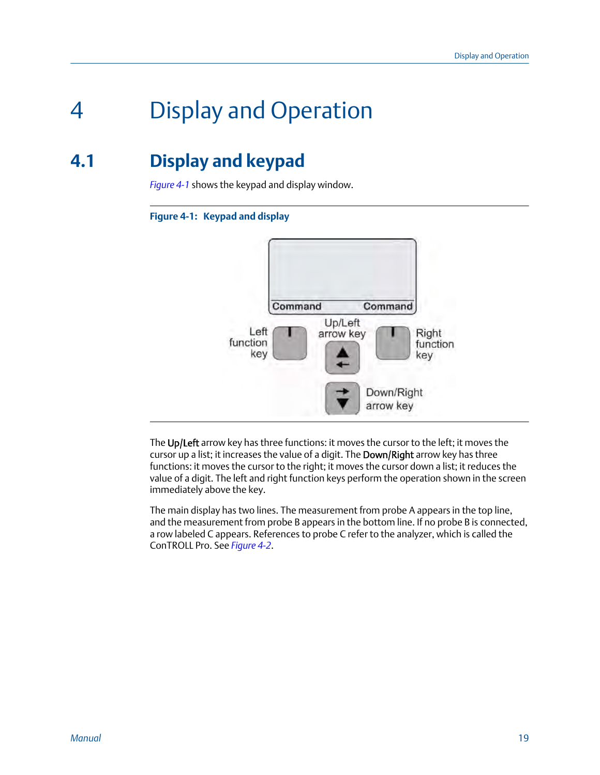# <span id="page-22-0"></span>4 Display and Operation

## **4.1 Display and keypad**

*Figure 4-1* shows the keypad and display window.

#### **Figure 4-1: Keypad and display**



The Up/Left arrow key has three functions: it moves the cursor to the left; it moves the cursor up a list; it increases the value of a digit. The Down/Right arrow key has three functions: it moves the cursor to the right; it moves the cursor down a list; it reduces the value of a digit. The left and right function keys perform the operation shown in the screen immediately above the key.

The main display has two lines. The measurement from probe A appears in the top line, and the measurement from probe B appears in the bottom line. If no probe B is connected, a row labeled C appears. References to probe C refer to the analyzer, which is called the ConTROLL Pro. See *[Figure 4-2](#page-23-0)*.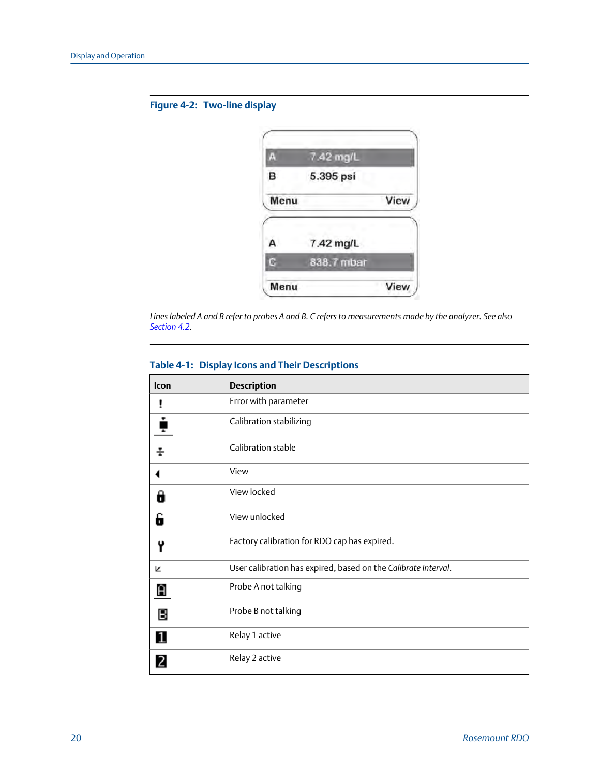## <span id="page-23-0"></span>**Figure 4-2: Two-line display**



*Lines labeled A and B refer to probes A and B. C refers to measurements made by the analyzer. See also [Section 4.2.](#page-24-0)*

| Icon | <b>Description</b>                                             |
|------|----------------------------------------------------------------|
|      | Error with parameter                                           |
| ŕ    | Calibration stabilizing                                        |
| ÷    | Calibration stable                                             |
|      | View                                                           |
| 8    | View locked                                                    |
| 6    | View unlocked                                                  |
| Y    | Factory calibration for RDO cap has expired.                   |
| K    | User calibration has expired, based on the Calibrate Interval. |
| Ĥ    | Probe A not talking                                            |
| В    | Probe B not talking                                            |
| 1    | Relay 1 active                                                 |
|      | Relay 2 active                                                 |

#### **Table 4-1: Display Icons and Their Descriptions**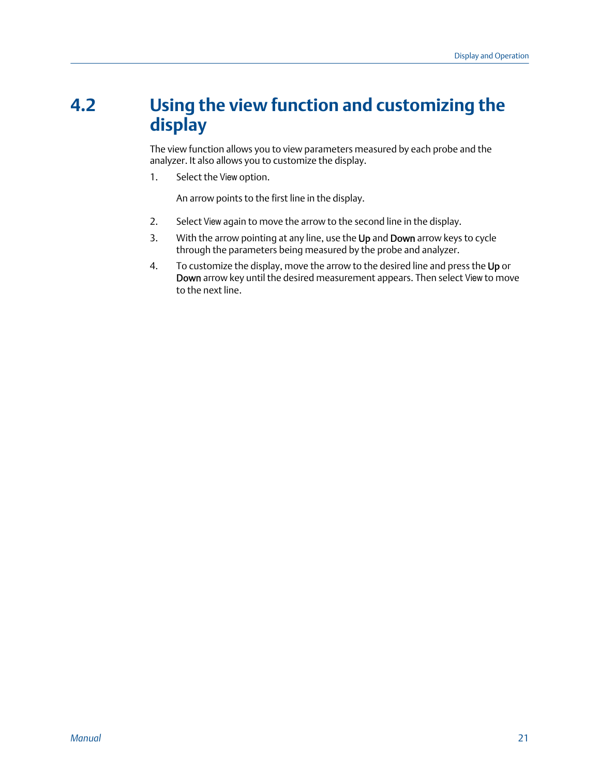## <span id="page-24-0"></span>**4.2 Using the view function and customizing the display**

The view function allows you to view parameters measured by each probe and the analyzer. It also allows you to customize the display.

1. Select the View option.

An arrow points to the first line in the display.

- 2. Select View again to move the arrow to the second line in the display.
- 3. With the arrow pointing at any line, use the Up and Down arrow keys to cycle through the parameters being measured by the probe and analyzer.
- 4. To customize the display, move the arrow to the desired line and press the Up or Down arrow key until the desired measurement appears. Then select View to move to the next line.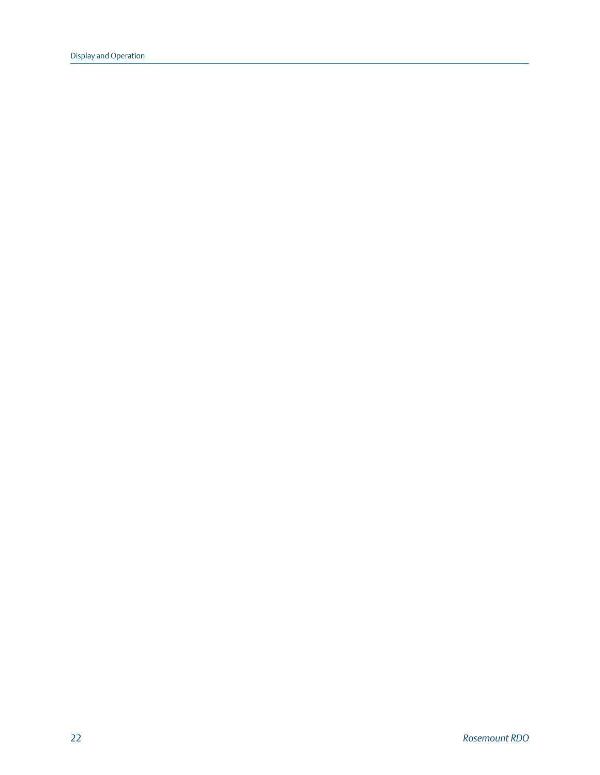Display and Operation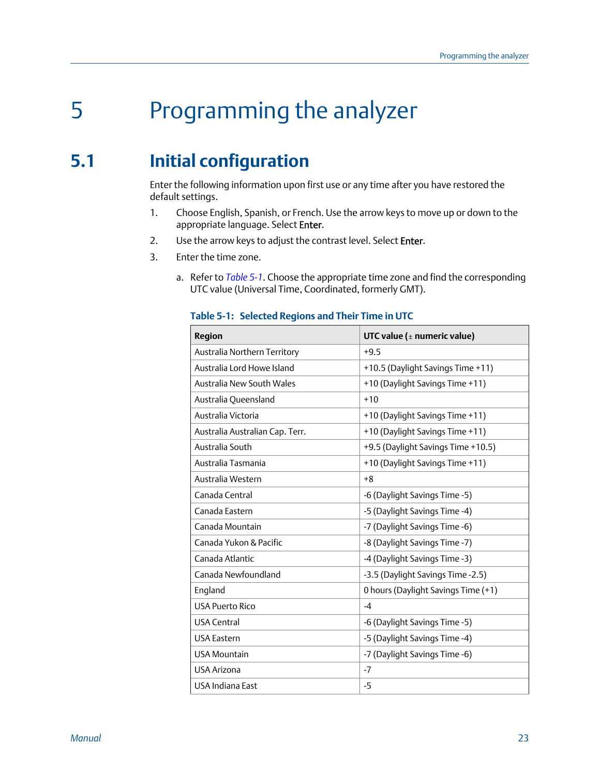# <span id="page-26-0"></span>5 Programming the analyzer

## **5.1 Initial configuration**

Enter the following information upon first use or any time after you have restored the default settings.

- 1. Choose English, Spanish, or French. Use the arrow keys to move up or down to the appropriate language. Select Enter.
- 2. Use the arrow keys to adjust the contrast level. Select Enter.
- 3. Enter the time zone.
	- a. Refer to *Table 5-1*. Choose the appropriate time zone and find the corresponding UTC value (Universal Time, Coordinated, formerly GMT).

| Region                           | UTC value ( $\pm$ numeric value)    |
|----------------------------------|-------------------------------------|
| Australia Northern Territory     | $+9.5$                              |
| Australia Lord Howe Island       | +10.5 (Daylight Savings Time +11)   |
| <b>Australia New South Wales</b> | +10 (Daylight Savings Time +11)     |
| Australia Queensland             | $+10$                               |
| Australia Victoria               | +10 (Daylight Savings Time +11)     |
| Australia Australian Cap. Terr.  | +10 (Daylight Savings Time +11)     |
| Australia South                  | +9.5 (Daylight Savings Time +10.5)  |
| Australia Tasmania               | +10 (Daylight Savings Time +11)     |
| Australia Western                | $+8$                                |
| Canada Central                   | -6 (Daylight Savings Time -5)       |
| Canada Eastern                   | -5 (Daylight Savings Time -4)       |
| Canada Mountain                  | -7 (Daylight Savings Time -6)       |
| Canada Yukon & Pacific           | -8 (Daylight Savings Time -7)       |
| Canada Atlantic                  | -4 (Daylight Savings Time -3)       |
| Canada Newfoundland              | -3.5 (Daylight Savings Time -2.5)   |
| England                          | 0 hours (Daylight Savings Time (+1) |
| <b>USA Puerto Rico</b>           | $-4$                                |
| USA Central                      | -6 (Daylight Savings Time -5)       |
| <b>USA Eastern</b>               | -5 (Daylight Savings Time -4)       |
| <b>USA Mountain</b>              | -7 (Daylight Savings Time -6)       |
| <b>USA Arizona</b>               | $-7$                                |
| USA Indiana East                 | $-5$                                |

#### **Table 5-1: Selected Regions and Their Time in UTC**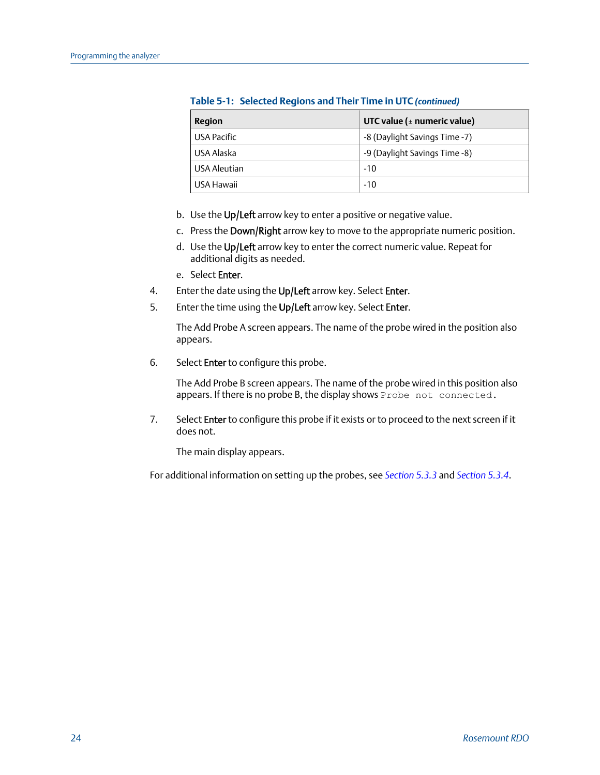| <b>Region</b>      | UTC value ( $\pm$ numeric value) |
|--------------------|----------------------------------|
| <b>USA Pacific</b> | -8 (Daylight Savings Time -7)    |
| USA Alaska         | -9 (Daylight Savings Time -8)    |
| USA Aleutian       | $-10$                            |
| USA Hawaii         | $-10$                            |

**Table 5-1: Selected Regions and Their Time in UTC** *(continued)*

- b. Use the Up/Left arrow key to enter a positive or negative value.
- c. Press the Down/Right arrow key to move to the appropriate numeric position.
- d. Use the Up/Left arrow key to enter the correct numeric value. Repeat for additional digits as needed.
- e. Select Enter.
- 4. Enter the date using the Up/Left arrow key. Select Enter.
- 5. Enter the time using the Up/Left arrow key. Select Enter.

The Add Probe A screen appears. The name of the probe wired in the position also appears.

6. Select **Enter** to configure this probe.

The Add Probe B screen appears. The name of the probe wired in this position also appears. If there is no probe B, the display shows Probe not connected.

7. Select Enter to configure this probe if it exists or to proceed to the next screen if it does not.

The main display appears.

For additional information on setting up the probes, see *[Section 5.3.3](#page-30-0)* and *[Section 5.3.4](#page-31-0)*.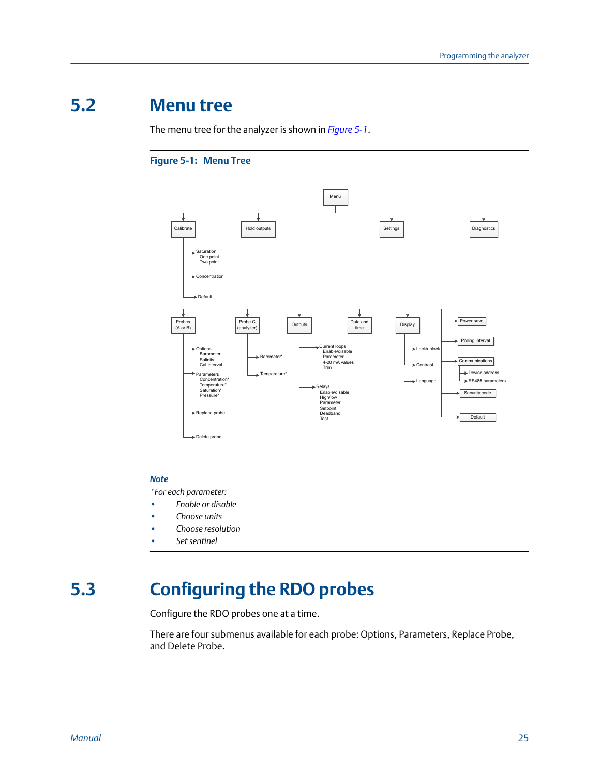## <span id="page-28-0"></span>**5.2 Menu tree**

The menu tree for the analyzer is shown in *Figure 5-1*.

#### **Figure 5-1: Menu Tree**



#### *Note*

*\*For each parameter:*

- *• Enable or disable*
- *• Choose units*
- *• Choose resolution*
- *• Set sentinel*

## **5.3 Configuring the RDO probes**

Configure the RDO probes one at a time.

There are four submenus available for each probe: Options, Parameters, Replace Probe, and Delete Probe.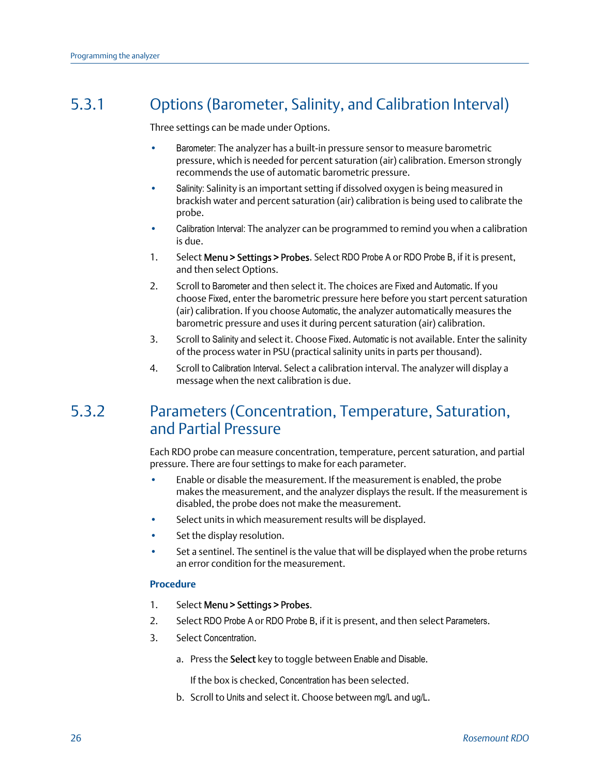## <span id="page-29-0"></span>5.3.1 Options (Barometer, Salinity, and Calibration Interval)

Three settings can be made under Options.

- Barometer: The analyzer has a built-in pressure sensor to measure barometric pressure, which is needed for percent saturation (air) calibration. Emerson strongly recommends the use of automatic barometric pressure.
- Salinity: Salinity is an important setting if dissolved oxygen is being measured in brackish water and percent saturation (air) calibration is being used to calibrate the probe.
- Calibration Interval: The analyzer can be programmed to remind you when a calibration is due.
- 1. Select Menu > Settings > Probes. Select RDO Probe A or RDO Probe B, if it is present, and then select Options.
- 2. Scroll to Barometer and then select it. The choices are Fixed and Automatic. If you choose Fixed, enter the barometric pressure here before you start percent saturation (air) calibration. If you choose Automatic, the analyzer automatically measures the barometric pressure and uses it during percent saturation (air) calibration.
- 3. Scroll to Salinity and select it. Choose Fixed. Automatic is not available. Enter the salinity of the process water in PSU (practical salinity units in parts per thousand).
- 4. Scroll to Calibration Interval. Select a calibration interval. The analyzer will display a message when the next calibration is due.

## 5.3.2 Parameters (Concentration, Temperature, Saturation, and Partial Pressure

Each RDO probe can measure concentration, temperature, percent saturation, and partial pressure. There are four settings to make for each parameter.

- Enable or disable the measurement. If the measurement is enabled, the probe makes the measurement, and the analyzer displays the result. If the measurement is disabled, the probe does not make the measurement.
- Select units in which measurement results will be displayed.
- Set the display resolution.
- Set a sentinel. The sentinel is the value that will be displayed when the probe returns an error condition for the measurement.

#### **Procedure**

- 1. Select Menu > Settings > Probes.
- 2. Select RDO Probe A or RDO Probe B, if it is present, and then select Parameters.
- 3. Select Concentration.
	- a. Press the Select key to toggle between Enable and Disable.

If the box is checked, Concentration has been selected.

b. Scroll to Units and select it. Choose between mg/L and ug/L.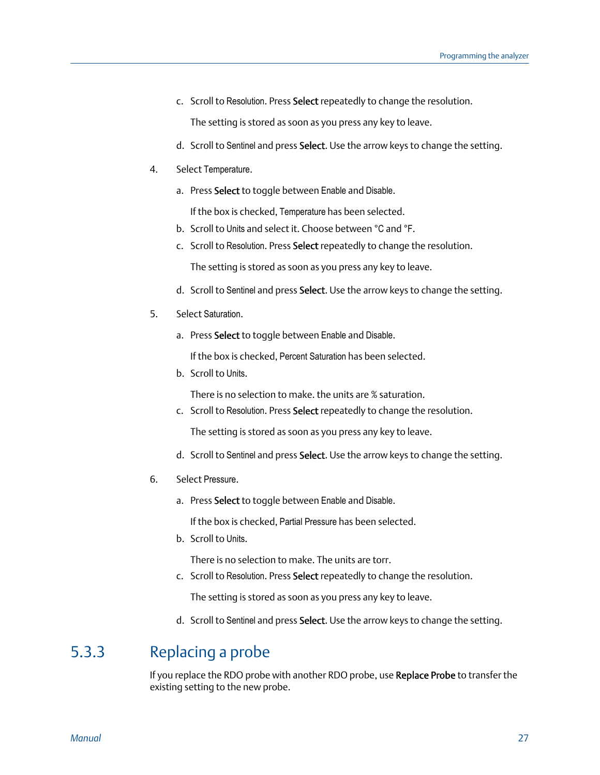<span id="page-30-0"></span>c. Scroll to Resolution. Press Select repeatedly to change the resolution.

The setting is stored as soon as you press any key to leave.

- d. Scroll to Sentinel and press Select. Use the arrow keys to change the setting.
- 4. Select Temperature.
	- a. Press Select to toggle between Enable and Disable.

If the box is checked, Temperature has been selected.

- b. Scroll to Units and select it. Choose between °C and °F.
- c. Scroll to Resolution. Press Select repeatedly to change the resolution.

The setting is stored as soon as you press any key to leave.

- d. Scroll to Sentinel and press Select. Use the arrow keys to change the setting.
- 5. Select Saturation.
	- a. Press Select to toggle between Enable and Disable.

If the box is checked, Percent Saturation has been selected.

b. Scroll to Units.

There is no selection to make. the units are % saturation.

c. Scroll to Resolution. Press Select repeatedly to change the resolution.

The setting is stored as soon as you press any key to leave.

- d. Scroll to Sentinel and press Select. Use the arrow keys to change the setting.
- 6. Select Pressure.
	- a. Press Select to toggle between Enable and Disable.

If the box is checked, Partial Pressure has been selected.

b. Scroll to Units.

There is no selection to make. The units are torr.

c. Scroll to Resolution. Press Select repeatedly to change the resolution.

The setting is stored as soon as you press any key to leave.

d. Scroll to Sentinel and press Select. Use the arrow keys to change the setting.

## 5.3.3 Replacing a probe

If you replace the RDO probe with another RDO probe, use Replace Probe to transfer the existing setting to the new probe.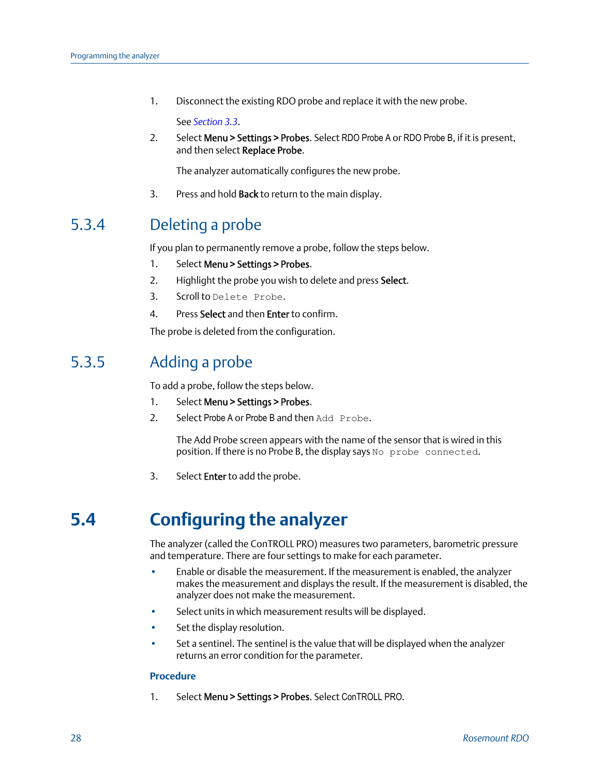<span id="page-31-0"></span>1. Disconnect the existing RDO probe and replace it with the new probe.

See *[Section 3.3](#page-21-0)*.

2. Select Menu > Settings > Probes. Select RDO Probe A or RDO Probe B, if it is present, and then select Replace Probe.

The analyzer automatically configures the new probe.

3. Press and hold Back to return to the main display.

## 5.3.4 Deleting a probe

If you plan to permanently remove a probe, follow the steps below.

- 1. Select Menu > Settings > Probes.
- 2. Highlight the probe you wish to delete and press Select.
- 3. Scroll to Delete Probe.
- 4. Press Select and then Enter to confirm.

The probe is deleted from the configuration.

## 5.3.5 Adding a probe

To add a probe, follow the steps below.

- 1. Select Menu > Settings > Probes.
- 2. Select Probe A or Probe B and then Add Probe.

The Add Probe screen appears with the name of the sensor that is wired in this position. If there is no Probe B, the display says No probe connected.

3. Select **Enter** to add the probe.

## **5.4 Configuring the analyzer**

The analyzer (called the ConTROLL PRO) measures two parameters, barometric pressure and temperature. There are four settings to make for each parameter.

- Enable or disable the measurement. If the measurement is enabled, the analyzer makes the measurement and displays the result. If the measurement is disabled, the analyzer does not make the measurement.
- Select units in which measurement results will be displayed.
- Set the display resolution.
- Set a sentinel. The sentinel is the value that will be displayed when the analyzer returns an error condition for the parameter.

#### **Procedure**

1. Select Menu > Settings > Probes. Select ConTROLL PRO.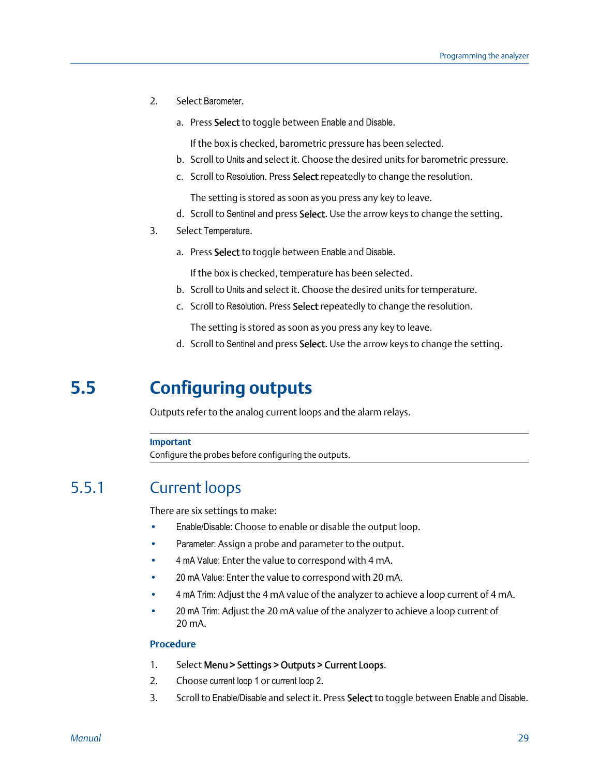- <span id="page-32-0"></span>2. Select Barometer.
	- a. Press Select to toggle between Enable and Disable.

If the box is checked, barometric pressure has been selected.

- b. Scroll to Units and select it. Choose the desired units for barometric pressure.
- c. Scroll to Resolution. Press Select repeatedly to change the resolution.

The setting is stored as soon as you press any key to leave.

- d. Scroll to Sentinel and press Select. Use the arrow keys to change the setting.
- 3. Select Temperature.
	- a. Press Select to toggle between Enable and Disable.

If the box is checked, temperature has been selected.

- b. Scroll to Units and select it. Choose the desired units for temperature.
- c. Scroll to Resolution. Press Select repeatedly to change the resolution.

The setting is stored as soon as you press any key to leave.

d. Scroll to Sentinel and press Select. Use the arrow keys to change the setting.

## **5.5 Configuring outputs**

Outputs refer to the analog current loops and the alarm relays.

#### **Important**

Configure the probes before configuring the outputs.

## 5.5.1 Current loops

There are six settings to make:

- Enable/Disable: Choose to enable or disable the output loop.
- Parameter: Assign a probe and parameter to the output.
- 4 mA Value: Enter the value to correspond with 4 mA.
- 20 mA Value: Enter the value to correspond with 20 mA.
- 4 mA Trim: Adjust the 4 mA value of the analyzer to achieve a loop current of 4 mA.
- 20 mA Trim: Adjust the 20 mA value of the analyzer to achieve a loop current of 20 mA.

#### **Procedure**

- 1. Select Menu > Settings > Outputs > Current Loops.
- 2. Choose current loop 1 or current loop 2.
- 3. Scroll to Enable/Disable and select it. Press Select to toggle between Enable and Disable.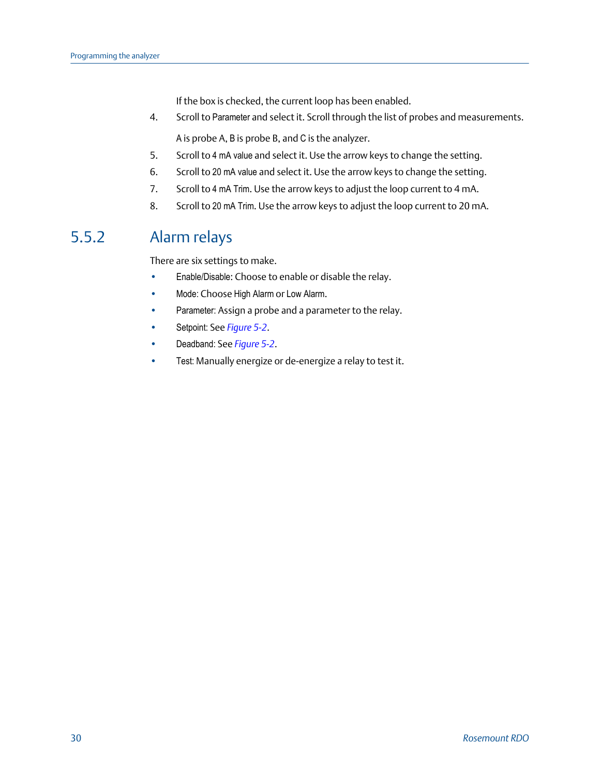If the box is checked, the current loop has been enabled.

- <span id="page-33-0"></span>4. Scroll to Parameter and select it. Scroll through the list of probes and measurements. A is probe A, B is probe B, and C is the analyzer.
- 5. Scroll to 4 mA value and select it. Use the arrow keys to change the setting.
- 6. Scroll to 20 mA value and select it. Use the arrow keys to change the setting.
- 7. Scroll to 4 mA Trim. Use the arrow keys to adjust the loop current to 4 mA.
- 8. Scroll to 20 mA Trim. Use the arrow keys to adjust the loop current to 20 mA.

## 5.5.2 Alarm relays

There are six settings to make.

- Enable/Disable: Choose to enable or disable the relay.
- Mode: Choose High Alarm or Low Alarm.
- Parameter: Assign a probe and a parameter to the relay.
- Setpoint: See *[Figure 5-2](#page-34-0)*.
- Deadband: See *[Figure 5-2](#page-34-0)*.
- Test: Manually energize or de-energize a relay to test it.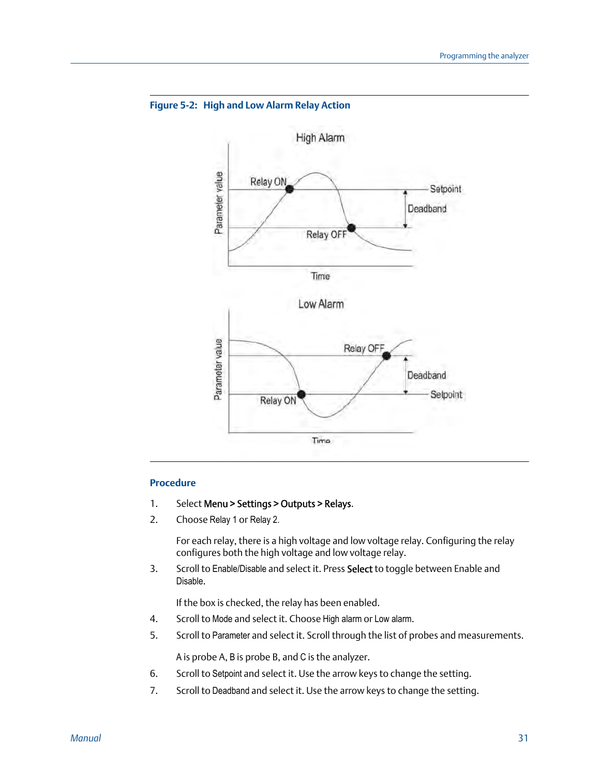

#### <span id="page-34-0"></span>**Figure 5-2: High and Low Alarm Relay Action**

#### **Procedure**

- 1. Select Menu > Settings > Outputs > Relays.
- 2. Choose Relay 1 or Relay 2.

For each relay, there is a high voltage and low voltage relay. Configuring the relay configures both the high voltage and low voltage relay.

3. Scroll to Enable/Disable and select it. Press Select to toggle between Enable and Disable.

If the box is checked, the relay has been enabled.

- 4. Scroll to Mode and select it. Choose High alarm or Low alarm.
- 5. Scroll to Parameter and select it. Scroll through the list of probes and measurements.

A is probe A, B is probe B, and C is the analyzer.

- 6. Scroll to Setpoint and select it. Use the arrow keys to change the setting.
- 7. Scroll to Deadband and select it. Use the arrow keys to change the setting.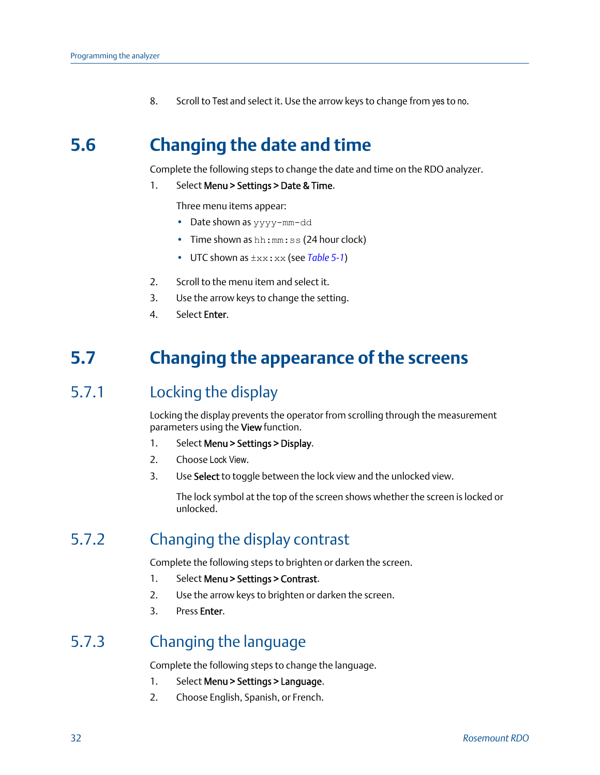8. Scroll to Test and select it. Use the arrow keys to change from yes to no.

## <span id="page-35-0"></span>**5.6 Changing the date and time**

Complete the following steps to change the date and time on the RDO analyzer.

1. Select Menu > Settings > Date & Time.

Three menu items appear:

- Date shown as yyyy-mm-dd
- Time shown as hh:mm:ss (24 hour clock)
- UTC shown as ±xx:xx (see *[Table 5-1](#page-26-0)*)
- 2. Scroll to the menu item and select it.
- 3. Use the arrow keys to change the setting.
- 4. Select Enter.

## **5.7 Changing the appearance of the screens**

## 5.7.1 Locking the display

Locking the display prevents the operator from scrolling through the measurement parameters using the View function.

- 1. Select Menu > Settings > Display.
- 2. Choose Lock View.
- 3. Use Select to toggle between the lock view and the unlocked view.

The lock symbol at the top of the screen shows whether the screen is locked or unlocked.

## 5.7.2 Changing the display contrast

Complete the following steps to brighten or darken the screen.

- 1. Select Menu > Settings > Contrast.
- 2. Use the arrow keys to brighten or darken the screen.
- 3. Press Enter.

## 5.7.3 Changing the language

Complete the following steps to change the language.

- 1. Select Menu > Settings > Language.
- 2. Choose English, Spanish, or French.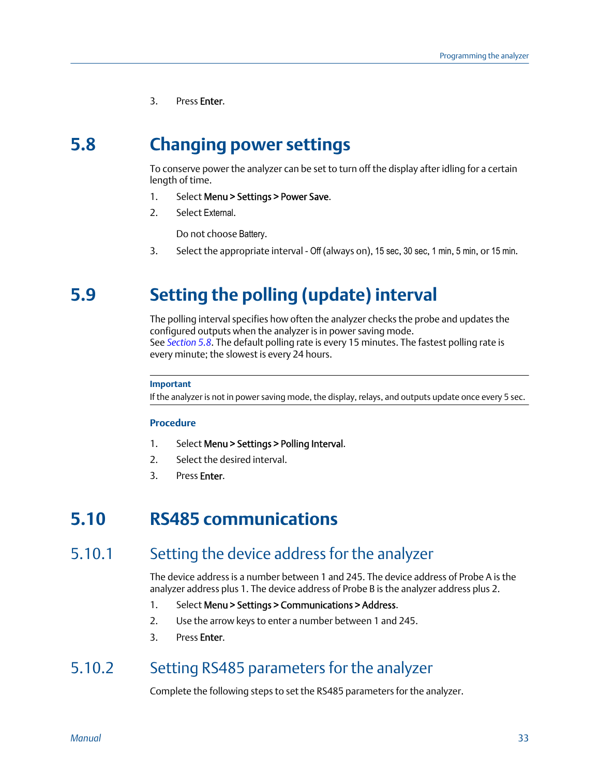3. Press Enter.

## <span id="page-36-0"></span>**5.8 Changing power settings**

To conserve power the analyzer can be set to turn off the display after idling for a certain length of time.

- 1. Select Menu > Settings > Power Save.
- 2. Select External.

Do not choose Battery.

3. Select the appropriate interval - Off (always on), 15 sec, 30 sec, 1 min, 5 min, or 15 min.

## **5.9 Setting the polling (update) interval**

The polling interval specifies how often the analyzer checks the probe and updates the configured outputs when the analyzer is in power saving mode. See *Section 5.8*. The default polling rate is every 15 minutes. The fastest polling rate is every minute; the slowest is every 24 hours.

```
Important
```
If the analyzer is not in power saving mode, the display, relays, and outputs update once every 5 sec.

#### **Procedure**

- 1. Select Menu > Settings > Polling Interval.
- 2. Select the desired interval.
- 3. Press Enter.

## **5.10 RS485 communications**

## 5.10.1 Setting the device address for the analyzer

The device address is a number between 1 and 245. The device address of Probe A is the analyzer address plus 1. The device address of Probe B is the analyzer address plus 2.

- 1. Select Menu > Settings > Communications > Address.
- 2. Use the arrow keys to enter a number between 1 and 245.
- 3. Press Enter.

## 5.10.2 Setting RS485 parameters for the analyzer

Complete the following steps to set the RS485 parameters for the analyzer.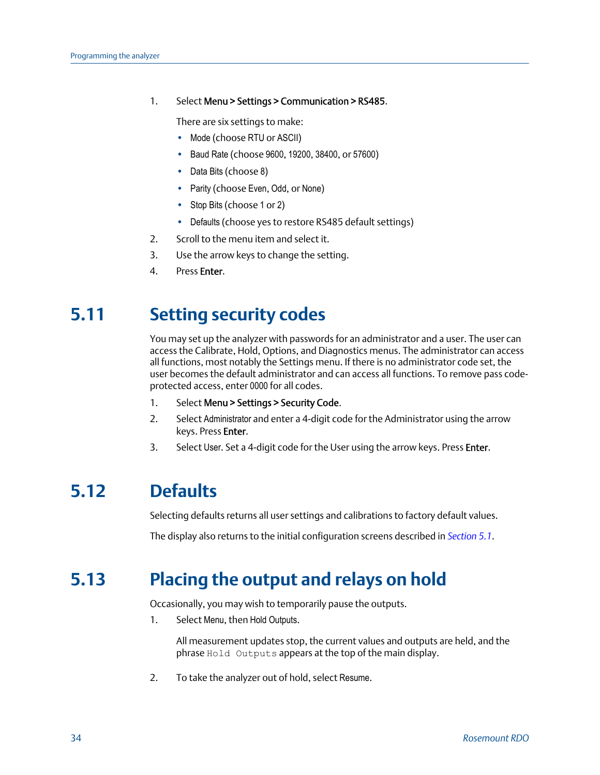#### <span id="page-37-0"></span>1. Select Menu > Settings > Communication > RS485.

There are six settings to make:

- Mode (choose RTU or ASCII)
- Baud Rate (choose 9600, 19200, 38400, or 57600)
- Data Bits (choose 8)
- Parity (choose Even, Odd, or None)
- Stop Bits (choose 1 or 2)
- Defaults (choose yes to restore RS485 default settings)
- 2. Scroll to the menu item and select it.
- 3. Use the arrow keys to change the setting.
- 4. Press Enter.

## **5.11 Setting security codes**

You may set up the analyzer with passwords for an administrator and a user. The user can access the Calibrate, Hold, Options, and Diagnostics menus. The administrator can access all functions, most notably the Settings menu. If there is no administrator code set, the user becomes the default administrator and can access all functions. To remove pass codeprotected access, enter 0000 for all codes.

- 1. Select Menu > Settings > Security Code.
- 2. Select Administrator and enter a 4-digit code for the Administrator using the arrow keys. Press Enter.
- 3. Select User. Set a 4-digit code for the User using the arrow keys. Press Enter.

## **5.12 Defaults**

Selecting defaults returns all user settings and calibrations to factory default values.

The display also returns to the initial configuration screens described in *[Section 5.1](#page-26-0)*.

## **5.13 Placing the output and relays on hold**

Occasionally, you may wish to temporarily pause the outputs.

1. Select Menu, then Hold Outputs.

All measurement updates stop, the current values and outputs are held, and the phrase Hold Outputs appears at the top of the main display.

2. To take the analyzer out of hold, select Resume.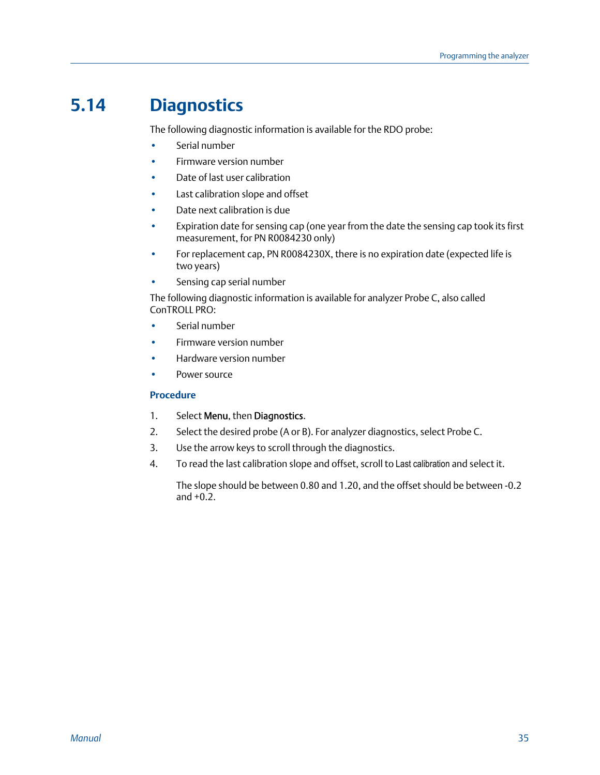## <span id="page-38-0"></span>**5.14 Diagnostics**

The following diagnostic information is available for the RDO probe:

- Serial number
- Firmware version number
- Date of last user calibration
- Last calibration slope and offset
- Date next calibration is due
- Expiration date for sensing cap (one year from the date the sensing cap took its first measurement, for PN R0084230 only)
- For replacement cap, PN R0084230X, there is no expiration date (expected life is two years)
- Sensing cap serial number

The following diagnostic information is available for analyzer Probe C, also called ConTROLL PRO:

- Serial number
- Firmware version number
- Hardware version number
- Power source

#### **Procedure**

- 1. Select Menu, then Diagnostics.
- 2. Select the desired probe (A or B). For analyzer diagnostics, select Probe C.
- 3. Use the arrow keys to scroll through the diagnostics.
- 4. To read the last calibration slope and offset, scroll to Last calibration and select it.

The slope should be between 0.80 and 1.20, and the offset should be between -0.2 and  $+0.2$ .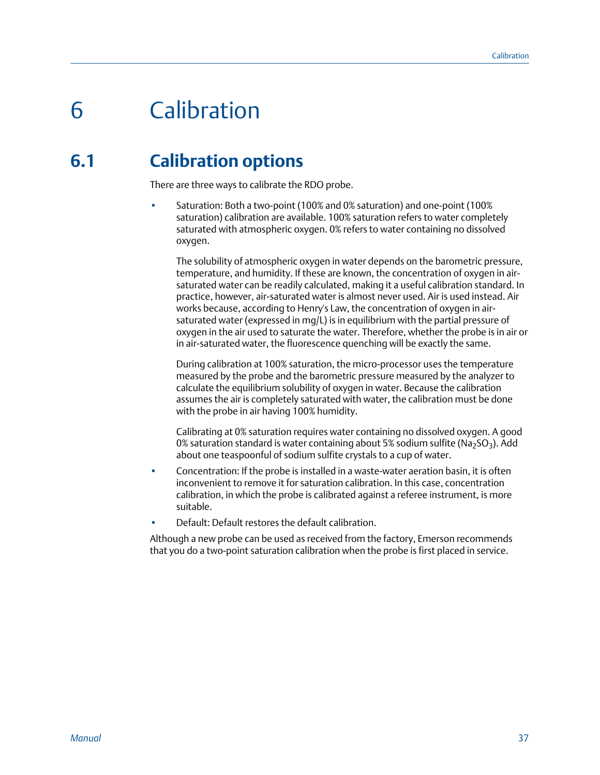# <span id="page-40-0"></span>6 Calibration

## **6.1 Calibration options**

There are three ways to calibrate the RDO probe.

• Saturation: Both a two-point (100% and 0% saturation) and one-point (100% saturation) calibration are available. 100% saturation refers to water completely saturated with atmospheric oxygen. 0% refers to water containing no dissolved oxygen.

The solubility of atmospheric oxygen in water depends on the barometric pressure, temperature, and humidity. If these are known, the concentration of oxygen in airsaturated water can be readily calculated, making it a useful calibration standard. In practice, however, air-saturated water is almost never used. Air is used instead. Air works because, according to Henry's Law, the concentration of oxygen in airsaturated water (expressed in mg/L) is in equilibrium with the partial pressure of oxygen in the air used to saturate the water. Therefore, whether the probe is in air or in air-saturated water, the fluorescence quenching will be exactly the same.

During calibration at 100% saturation, the micro-processor uses the temperature measured by the probe and the barometric pressure measured by the analyzer to calculate the equilibrium solubility of oxygen in water. Because the calibration assumes the air is completely saturated with water, the calibration must be done with the probe in air having 100% humidity.

Calibrating at 0% saturation requires water containing no dissolved oxygen. A good 0% saturation standard is water containing about 5% sodium sulfite ( $Na<sub>2</sub>SO<sub>3</sub>$ ). Add about one teaspoonful of sodium sulfite crystals to a cup of water.

- Concentration: If the probe is installed in a waste-water aeration basin, it is often inconvenient to remove it for saturation calibration. In this case, concentration calibration, in which the probe is calibrated against a referee instrument, is more suitable.
- Default: Default restores the default calibration.

Although a new probe can be used as received from the factory, Emerson recommends that you do a two-point saturation calibration when the probe is first placed in service.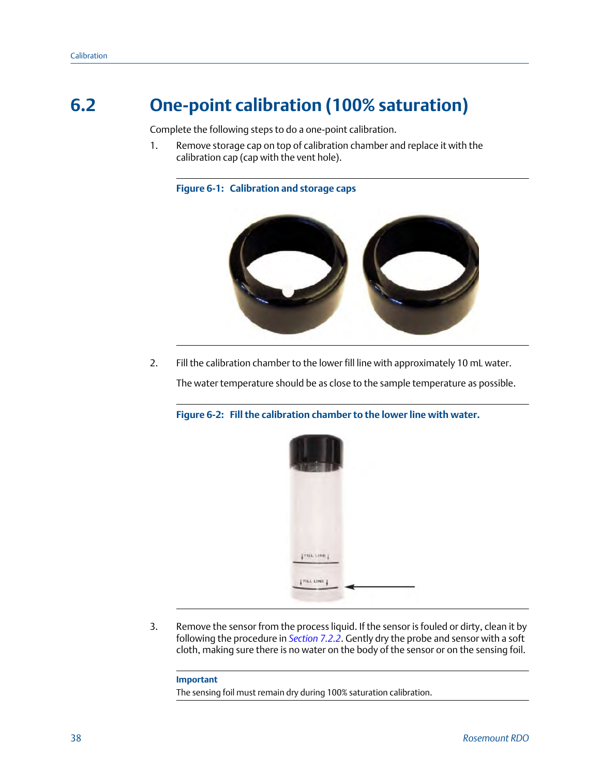## <span id="page-41-0"></span>**6.2 One-point calibration (100% saturation)**

Complete the following steps to do a one-point calibration.

1. Remove storage cap on top of calibration chamber and replace it with the calibration cap (cap with the vent hole).

#### **Figure 6-1: Calibration and storage caps**



2. Fill the calibration chamber to the lower fill line with approximately 10 mL water.

The water temperature should be as close to the sample temperature as possible.

**Figure 6-2: Fill the calibration chamber to the lower line with water.**



3. Remove the sensor from the process liquid. If the sensor is fouled or dirty, clean it by following the procedure in *[Section 7.2.2](#page-47-0)*. Gently dry the probe and sensor with a soft cloth, making sure there is no water on the body of the sensor or on the sensing foil.

#### **Important**

The sensing foil must remain dry during 100% saturation calibration.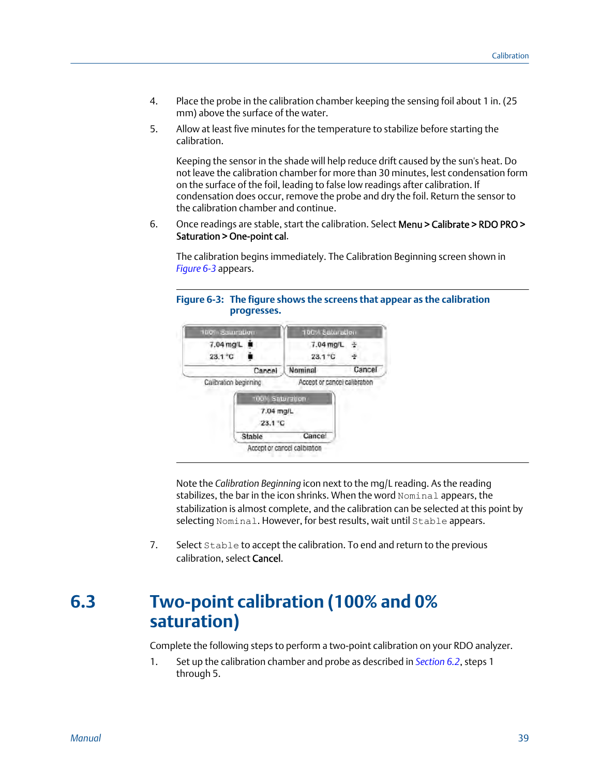- <span id="page-42-0"></span>4. Place the probe in the calibration chamber keeping the sensing foil about 1 in. (25 mm) above the surface of the water.
- 5. Allow at least five minutes for the temperature to stabilize before starting the calibration.

Keeping the sensor in the shade will help reduce drift caused by the sun's heat. Do not leave the calibration chamber for more than 30 minutes, lest condensation form on the surface of the foil, leading to false low readings after calibration. If condensation does occur, remove the probe and dry the foil. Return the sensor to the calibration chamber and continue.

6. Once readings are stable, start the calibration. Select Menu > Calibrate > RDO PRO > Saturation > One-point cal.

The calibration begins immediately. The Calibration Beginning screen shown in *Figure 6-3* appears.





Note the *Calibration Beginning* icon next to the mg/L reading. As the reading stabilizes, the bar in the icon shrinks. When the word Nominal appears, the stabilization is almost complete, and the calibration can be selected at this point by selecting Nominal. However, for best results, wait until Stable appears.

7. Select Stable to accept the calibration. To end and return to the previous calibration, select Cancel.

## **6.3 Two-point calibration (100% and 0% saturation)**

Complete the following steps to perform a two-point calibration on your RDO analyzer.

1. Set up the calibration chamber and probe as described in *[Section 6.2](#page-41-0)*, steps 1 through 5.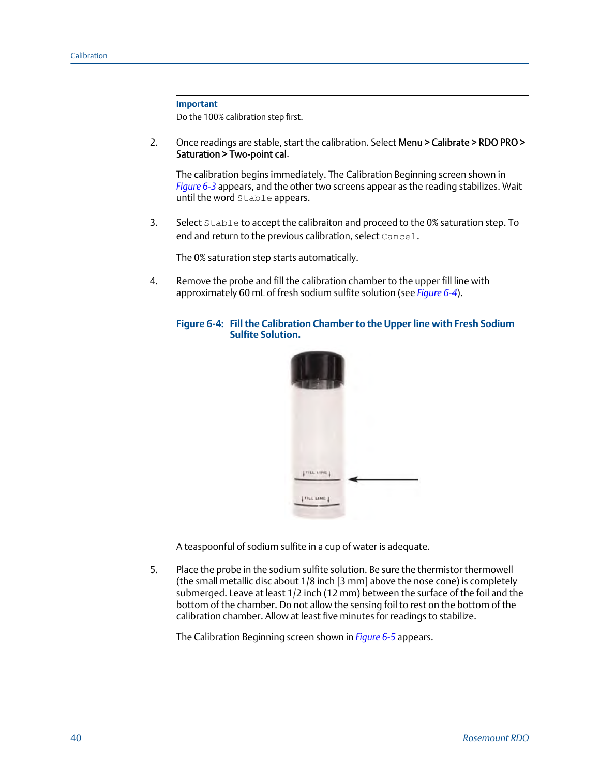**Important** Do the 100% calibration step first.

2. Once readings are stable, start the calibration. Select **Menu > Calibrate > RDO PRO >** Saturation > Two-point cal.

The calibration begins immediately. The Calibration Beginning screen shown in *[Figure 6-3](#page-42-0)* appears, and the other two screens appear as the reading stabilizes. Wait until the word Stable appears.

3. Select Stable to accept the calibraiton and proceed to the 0% saturation step. To end and return to the previous calibration, select Cancel.

The 0% saturation step starts automatically.

- 4. Remove the probe and fill the calibration chamber to the upper fill line with approximately 60 mL of fresh sodium sulfite solution (see *Figure 6-4*).
	- Figure 6-4: Fill the Calibration Chamber to the Upper line with Fresh Sodium **Sulfite Solution.**



A teaspoonful of sodium sulfite in a cup of water is adequate.

5. Place the probe in the sodium sulfite solution. Be sure the thermistor thermowell (the small metallic disc about 1/8 inch [3 mm] above the nose cone) is completely submerged. Leave at least 1/2 inch (12 mm) between the surface of the foil and the bottom of the chamber. Do not allow the sensing foil to rest on the bottom of the calibration chamber. Allow at least five minutes for readings to stabilize.

The Calibration Beginning screen shown in *[Figure 6-5](#page-44-0)* appears.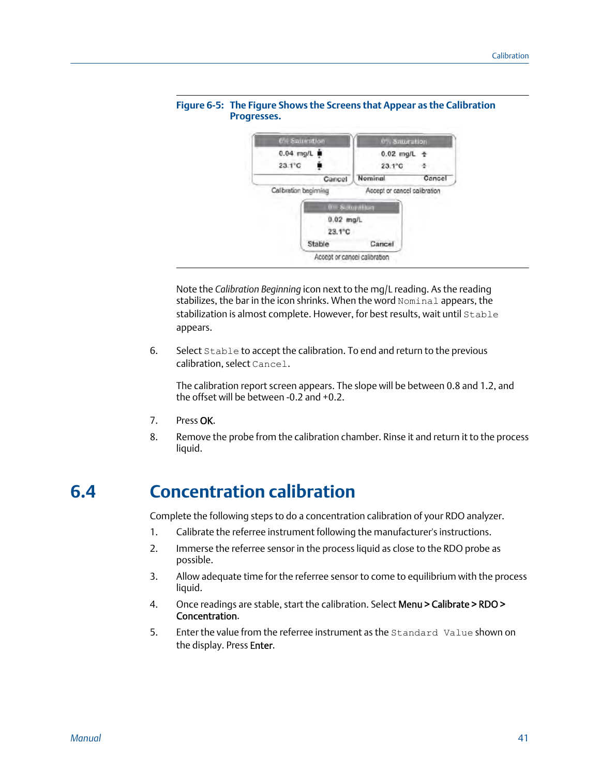

#### <span id="page-44-0"></span>**The Figure Shows the Screens that Appear as the Calibration Figure 6-5: Progresses.**

Note the *Calibration Beginning* icon next to the mg/L reading. As the reading stabilizes, the bar in the icon shrinks. When the word Nominal appears, the stabilization is almost complete. However, for best results, wait until Stable appears.

6. Select Stable to accept the calibration. To end and return to the previous calibration, select Cancel.

The calibration report screen appears. The slope will be between 0.8 and 1.2, and the offset will be between -0.2 and +0.2.

- 7. Press OK.
- 8. Remove the probe from the calibration chamber. Rinse it and return it to the process liquid.

## **6.4 Concentration calibration**

Complete the following steps to do a concentration calibration of your RDO analyzer.

- 1. Calibrate the referree instrument following the manufacturer's instructions.
- 2. Immerse the referree sensor in the process liquid as close to the RDO probe as possible.
- 3. Allow adequate time for the referree sensor to come to equilibrium with the process liquid.
- 4. Once readings are stable, start the calibration. Select **Menu > Calibrate > RDO >** Concentration.
- 5. Enter the value from the referree instrument as the Standard Value shown on the display. Press Enter.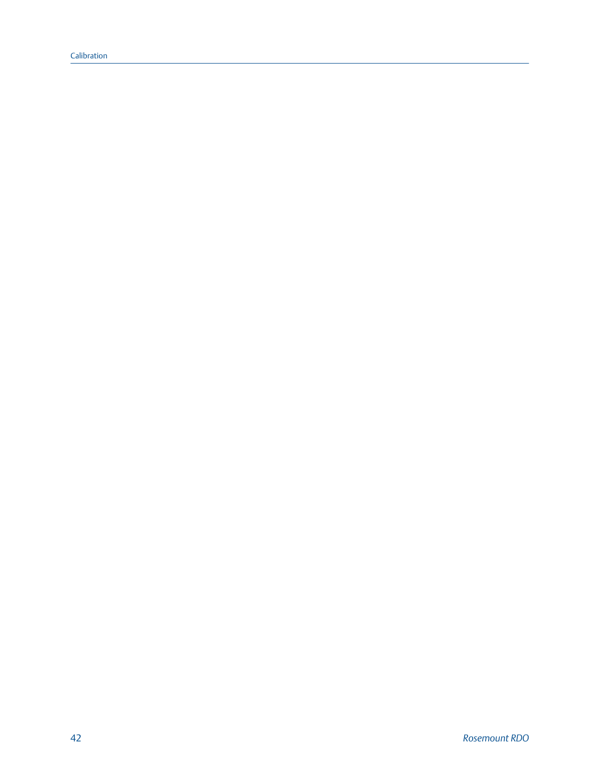Calibration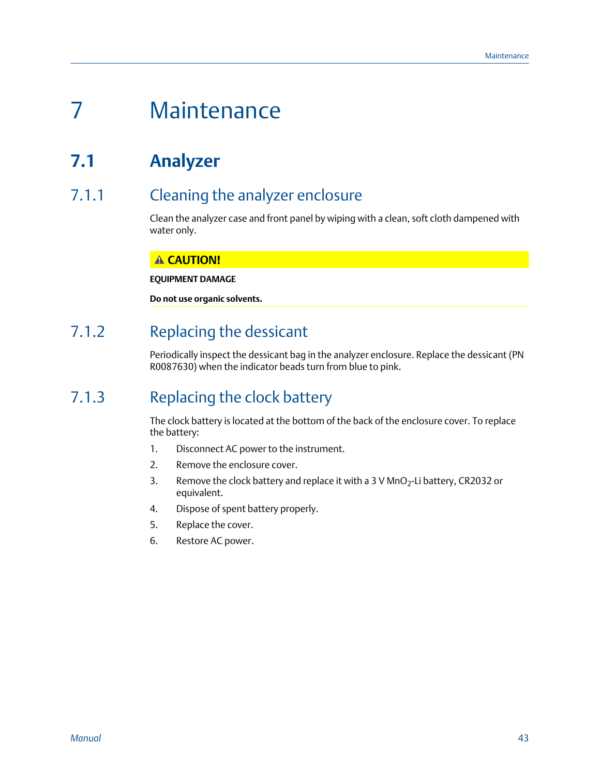# <span id="page-46-0"></span>7 Maintenance

## **7.1 Analyzer**

## 7.1.1 Cleaning the analyzer enclosure

Clean the analyzer case and front panel by wiping with a clean, soft cloth dampened with water only.

## **A CAUTION!**

**EQUIPMENT DAMAGE**

**Do not use organic solvents.**

## 7.1.2 Replacing the dessicant

Periodically inspect the dessicant bag in the analyzer enclosure. Replace the dessicant (PN R0087630) when the indicator beads turn from blue to pink.

## 7.1.3 Replacing the clock battery

The clock battery is located at the bottom of the back of the enclosure cover. To replace the battery:

- 1. Disconnect AC power to the instrument.
- 2. Remove the enclosure cover.
- 3. Remove the clock battery and replace it with a 3 V MnO<sub>2</sub>-Li battery, CR2032 or equivalent.
- 4. Dispose of spent battery properly.
- 5. Replace the cover.
- 6. Restore AC power.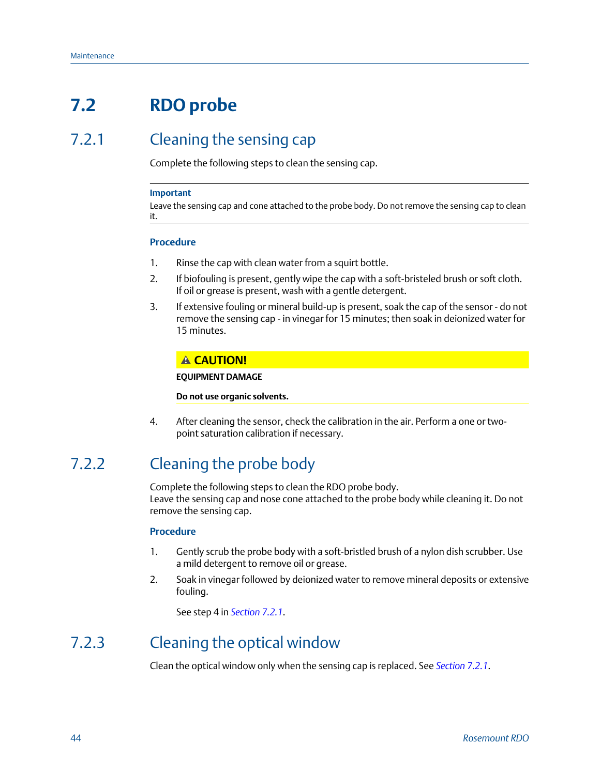## <span id="page-47-0"></span>**7.2 RDO probe**

## 7.2.1 Cleaning the sensing cap

Complete the following steps to clean the sensing cap.

#### **Important**

Leave the sensing cap and cone attached to the probe body. Do not remove the sensing cap to clean it.

#### **Procedure**

- 1. Rinse the cap with clean water from a squirt bottle.
- 2. If biofouling is present, gently wipe the cap with a soft-bristeled brush or soft cloth. If oil or grease is present, wash with a gentle detergent.
- 3. If extensive fouling or mineral build-up is present, soak the cap of the sensor do not remove the sensing cap - in vinegar for 15 minutes; then soak in deionized water for 15 minutes.

#### **A CAUTION!**

#### **EQUIPMENT DAMAGE**

**Do not use organic solvents.**

4. After cleaning the sensor, check the calibration in the air. Perform a one or twopoint saturation calibration if necessary.

## 7.2.2 Cleaning the probe body

Complete the following steps to clean the RDO probe body. Leave the sensing cap and nose cone attached to the probe body while cleaning it. Do not remove the sensing cap.

#### **Procedure**

- 1. Gently scrub the probe body with a soft-bristled brush of a nylon dish scrubber. Use a mild detergent to remove oil or grease.
- 2. Soak in vinegar followed by deionized water to remove mineral deposits or extensive fouling.

See step 4 in *Section 7.2.1*.

## 7.2.3 Cleaning the optical window

Clean the optical window only when the sensing cap is replaced. See *Section 7.2.1*.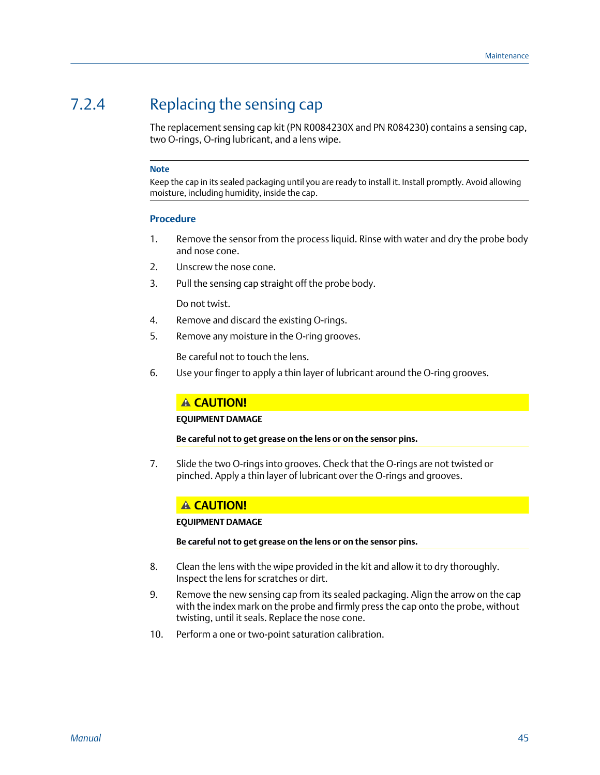## <span id="page-48-0"></span>7.2.4 Replacing the sensing cap

The replacement sensing cap kit (PN R0084230X and PN R084230) contains a sensing cap, two O-rings, O-ring lubricant, and a lens wipe.

#### **Note**

Keep the cap in its sealed packaging until you are ready to install it. Install promptly. Avoid allowing moisture, including humidity, inside the cap.

#### **Procedure**

- 1. Remove the sensor from the process liquid. Rinse with water and dry the probe body and nose cone.
- 2. Unscrew the nose cone.
- 3. Pull the sensing cap straight off the probe body.

Do not twist.

- 4. Remove and discard the existing O-rings.
- 5. Remove any moisture in the O-ring grooves.

Be careful not to touch the lens.

6. Use your finger to apply a thin layer of lubricant around the O-ring grooves.

#### **A CAUTION!**

#### **EQUIPMENT DAMAGE**

**Be careful not to get grease on the lens or on the sensor pins.**

7. Slide the two O-rings into grooves. Check that the O-rings are not twisted or pinched. Apply a thin layer of lubricant over the O-rings and grooves.

#### **A CAUTION!**

#### **EQUIPMENT DAMAGE**

**Be careful not to get grease on the lens or on the sensor pins.**

- 8. Clean the lens with the wipe provided in the kit and allow it to dry thoroughly. Inspect the lens for scratches or dirt.
- 9. Remove the new sensing cap from its sealed packaging. Align the arrow on the cap with the index mark on the probe and firmly press the cap onto the probe, without twisting, until it seals. Replace the nose cone.
- 10. Perform a one or two-point saturation calibration.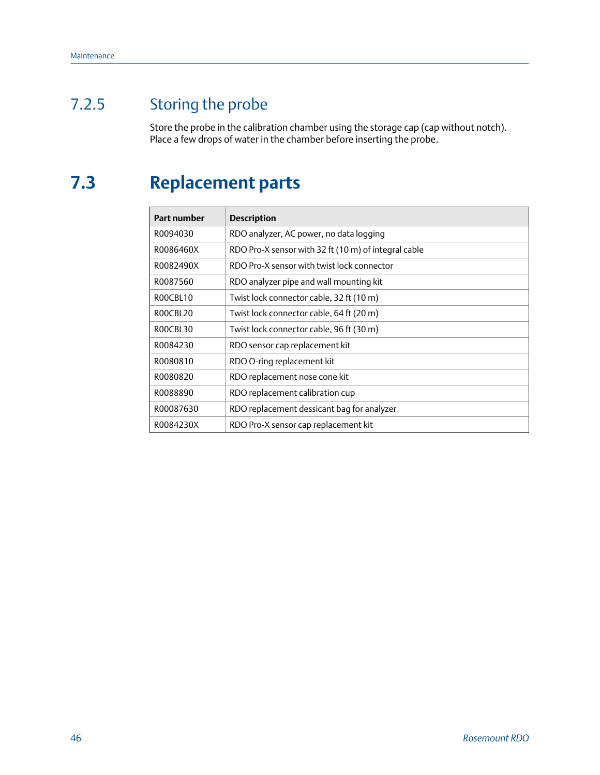## <span id="page-49-0"></span>7.2.5 Storing the probe

Store the probe in the calibration chamber using the storage cap (cap without notch). Place a few drops of water in the chamber before inserting the probe.

## **7.3 Replacement parts**

| Part number | <b>Description</b>                                   |
|-------------|------------------------------------------------------|
| R0094030    | RDO analyzer, AC power, no data logging              |
| R0086460X   | RDO Pro-X sensor with 32 ft (10 m) of integral cable |
| R0082490X   | RDO Pro-X sensor with twist lock connector           |
| R0087560    | RDO analyzer pipe and wall mounting kit              |
| R00CBL10    | Twist lock connector cable, 32 ft (10 m)             |
| R00CBL20    | Twist lock connector cable, 64 ft (20 m)             |
| R00CBL30    | Twist lock connector cable, 96 ft (30 m)             |
| R0084230    | RDO sensor cap replacement kit                       |
| R0080810    | RDO O-ring replacement kit                           |
| R0080820    | RDO replacement nose cone kit                        |
| R0088890    | RDO replacement calibration cup                      |
| R00087630   | RDO replacement dessicant bag for analyzer           |
| R0084230X   | RDO Pro-X sensor cap replacement kit                 |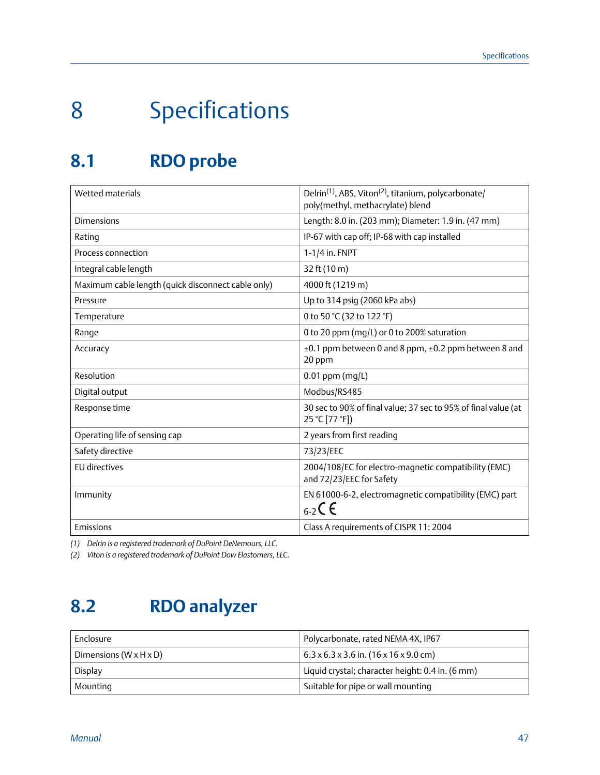# <span id="page-50-0"></span>8 Specifications

# **8.1 RDO probe**

| <b>Wetted materials</b>                            | Delrin <sup>(1)</sup> , ABS, Viton <sup>(2)</sup> , titanium, polycarbonate/<br>poly(methyl, methacrylate) blend |
|----------------------------------------------------|------------------------------------------------------------------------------------------------------------------|
| <b>Dimensions</b>                                  | Length: 8.0 in. (203 mm); Diameter: 1.9 in. (47 mm)                                                              |
| Rating                                             | IP-67 with cap off; IP-68 with cap installed                                                                     |
| Process connection                                 | 1-1/4 in. FNPT                                                                                                   |
| Integral cable length                              | 32 ft (10 m)                                                                                                     |
| Maximum cable length (quick disconnect cable only) | 4000 ft (1219 m)                                                                                                 |
| Pressure                                           | Up to 314 psig (2060 kPa abs)                                                                                    |
| Temperature                                        | 0 to 50 °C (32 to 122 °F)                                                                                        |
| Range                                              | 0 to 20 ppm (mg/L) or 0 to 200% saturation                                                                       |
| Accuracy                                           | $\pm 0.1$ ppm between 0 and 8 ppm, $\pm 0.2$ ppm between 8 and<br>20 ppm                                         |
| Resolution                                         | $0.01$ ppm (mg/L)                                                                                                |
| Digital output                                     | Modbus/RS485                                                                                                     |
| Response time                                      | 30 sec to 90% of final value; 37 sec to 95% of final value (at<br>25 °C [77 °F])                                 |
| Operating life of sensing cap                      | 2 years from first reading                                                                                       |
| Safety directive                                   | 73/23/EEC                                                                                                        |
| <b>EU</b> directives                               | 2004/108/EC for electro-magnetic compatibility (EMC)<br>and 72/23/EEC for Safety                                 |
| Immunity                                           | EN 61000-6-2, electromagnetic compatibility (EMC) part<br>$_{6-2}$ CE                                            |
| Emissions                                          | Class A requirements of CISPR 11: 2004                                                                           |

*(1) Delrin is a registered trademark of DuPoint DeNemours, LLC.*

*(2) Viton is a registered trademark of DuPoint Dow Elastomers, LLC.*

## **8.2 RDO analyzer**

| Enclosure                            | Polycarbonate, rated NEMA 4X, IP67                                     |
|--------------------------------------|------------------------------------------------------------------------|
| Dimensions ( $W \times H \times D$ ) | $6.3 \times 6.3 \times 3.6$ in. $(16 \times 16 \times 9.0 \text{ cm})$ |
| Display                              | Liquid crystal; character height: 0.4 in. (6 mm)                       |
| Mounting                             | Suitable for pipe or wall mounting                                     |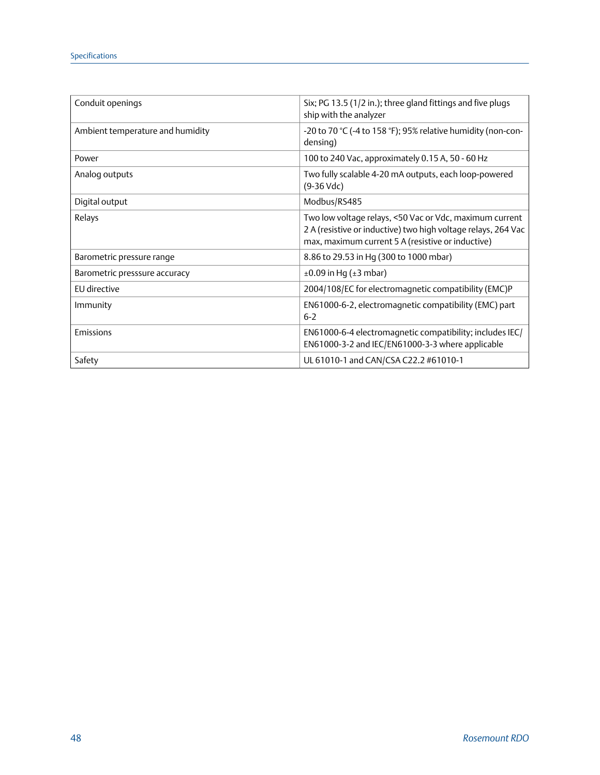| Conduit openings                 | Six; PG 13.5 (1/2 in.); three gland fittings and five plugs<br>ship with the analyzer                                                                                         |
|----------------------------------|-------------------------------------------------------------------------------------------------------------------------------------------------------------------------------|
| Ambient temperature and humidity | -20 to 70 °C (-4 to 158 °F); 95% relative humidity (non-con-<br>densing)                                                                                                      |
| Power                            | 100 to 240 Vac, approximately 0.15 A, 50 - 60 Hz                                                                                                                              |
| Analog outputs                   | Two fully scalable 4-20 mA outputs, each loop-powered<br>$(9-36 \text{ Vdc})$                                                                                                 |
| Digital output                   | Modbus/RS485                                                                                                                                                                  |
| Relays                           | Two low voltage relays, <50 Vac or Vdc, maximum current<br>2 A (resistive or inductive) two high voltage relays, 264 Vac<br>max, maximum current 5 A (resistive or inductive) |
| Barometric pressure range        | 8.86 to 29.53 in Hq (300 to 1000 mbar)                                                                                                                                        |
| Barometric presssure accuracy    | $\pm 0.09$ in Hg ( $\pm 3$ mbar)                                                                                                                                              |
| EU directive                     | 2004/108/EC for electromagnetic compatibility (EMC)P                                                                                                                          |
| Immunity                         | EN61000-6-2, electromagnetic compatibility (EMC) part<br>$6 - 2$                                                                                                              |
| Emissions                        | EN61000-6-4 electromagnetic compatibility; includes IEC/<br>EN61000-3-2 and IEC/EN61000-3-3 where applicable                                                                  |
| Safety                           | UL 61010-1 and CAN/CSA C22.2 #61010-1                                                                                                                                         |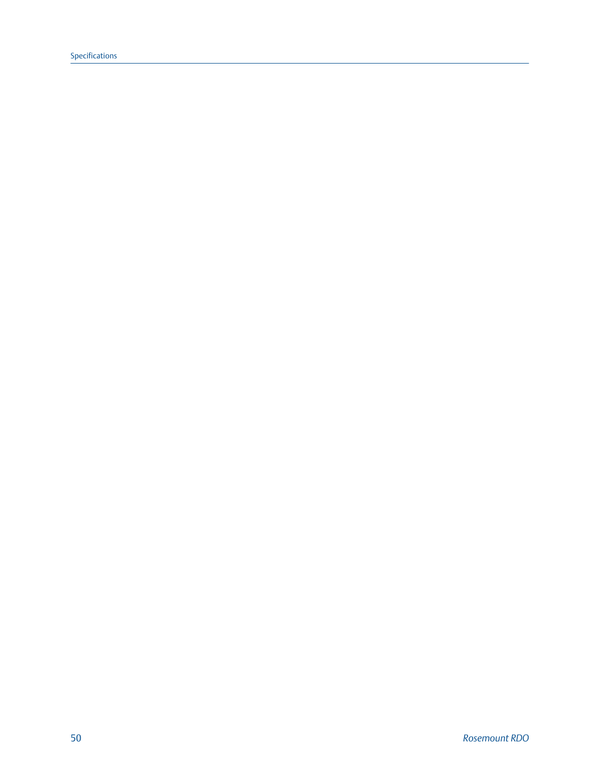Specifications